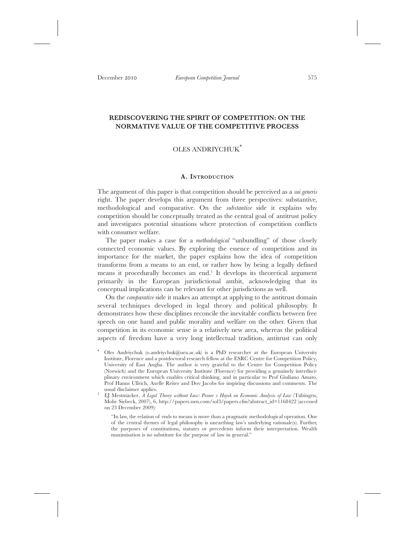# **REDISCOVERING THE SPIRIT OF COMPETITION: ON THE NORMATIVE VALUE OF THE COMPETITIVE PROCESS**

# OLES ANDRIYCHUK\*

#### **A. INTRODUCTION**

The argument of this paper is that competition should be perceived as a *sui generis* right. The paper develops this argument from three perspectives: substantive, methodological and comparative. On the *substantive* side it explains why competition should be conceptually treated as the central goal of antitrust policy and investigates potential situations where protection of competition conflicts with consumer welfare.

The paper makes a case for a *methodological* "unbundling" of those closely connected economic values. By exploring the essence of competition and its importance for the market, the paper explains how the idea of competition transforms from a means to an end, or rather how by being a legally defined means it procedurally becomes an end.<sup>1</sup> It develops its theoretical argument primarily in the European jurisdictional ambit, acknowledging that its conceptual implications can be relevant for other jurisdictions as well.

On the *comparative* side it makes an attempt at applying to the antitrust domain several techniques developed in legal theory and political philosophy. It demonstrates how these disciplines reconcile the inevitable conflicts between free speech on one hand and public morality and welfare on the other. Given that competition in its economic sense is a relatively new area, whereas the political aspects of freedom have a very long intellectual tradition, antitrust can only

Oles Andriychuk (o.andriychuk@uea.ac.uk) is a PhD researcher at the European University Institute, Florence and a postdoctoral research fellow at the ESRC Centre for Competition Policy, University of East Anglia. The author is very grateful to the Centre for Competition Policy (Norwich) and the European University Institute (Florence) for providing a genuinely interdisciplinary environment which enables critical thinking, and in particular to Prof Giuliano Amato, Prof Hanns Ullrich, Axelle Reiter and Dov Jacobs for inspiring discussions and comments. The usual disclaimer applies.

<sup>1</sup> EJ Mestmäcker, *A Legal Theory without Law: Posner v Hayek on Economic Analysis of Law* (Tübingen, Mohr Siebeck, 2007), 6, http://papers.ssrn.com/sol3/papers.cfm?abstract\_id=1168422 (accessed on 23 December 2009):

<sup>&</sup>quot;In law, the relation of ends to means is more than a pragmatic methodological operation. One of the central themes of legal philosophy is unearthing law's underlying rationale(s). Further, the purposes of constitutions, statutes or precedents inform their interpretation. Wealth maximisation is no substitute for the purpose of law in general."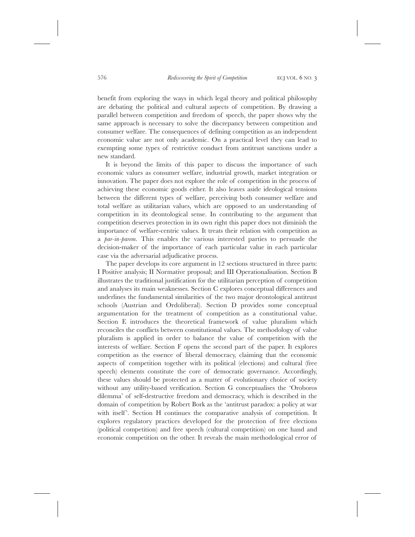benefit from exploring the ways in which legal theory and political philosophy are debating the political and cultural aspects of competition. By drawing a parallel between competition and freedom of speech, the paper shows why the same approach is necessary to solve the discrepancy between competition and consumer welfare. The consequences of defining competition as an independent economic value are not only academic. On a practical level they can lead to exempting some types of restrictive conduct from antitrust sanctions under a new standard.

It is beyond the limits of this paper to discuss the importance of such economic values as consumer welfare, industrial growth, market integration or innovation. The paper does not explore the role of competition in the process of achieving these economic goods either. It also leaves aside ideological tensions between the different types of welfare, perceiving both consumer welfare and total welfare as utilitarian values, which are opposed to an understanding of competition in its deontological sense. In contributing to the argument that competition deserves protection in its own right this paper does not diminish the importance of welfare-centric values. It treats their relation with competition as a *par-in-parem*. This enables the various interested parties to persuade the decision-maker of the importance of each particular value in each particular case via the adversarial adjudicative process.

The paper develops its core argument in 12 sections structured in three parts: I Positive analysis; II Normative proposal; and III Operationalisation. Section B illustrates the traditional justification for the utilitarian perception of competition and analyses its main weaknesses. Section C explores conceptual differences and underlines the fundamental similarities of the two major deontological antitrust schools (Austrian and Ordoliberal). Section D provides some conceptual argumentation for the treatment of competition as a constitutional value. Section E introduces the theoretical framework of value pluralism which reconciles the conflicts between constitutional values. The methodology of value pluralism is applied in order to balance the value of competition with the interests of welfare. Section F opens the second part of the paper. It explores competition as the essence of liberal democracy, claiming that the economic aspects of competition together with its political (elections) and cultural (free speech) elements constitute the core of democratic governance. Accordingly, these values should be protected as a matter of evolutionary choice of society without any utility-based verification. Section G conceptualises the 'Oroboros dilemma' of self-destructive freedom and democracy, which is described in the domain of competition by Robert Bork as the 'antitrust paradox: a policy at war with itself'. Section H continues the comparative analysis of competition. It explores regulatory practices developed for the protection of free elections (political competition) and free speech (cultural competition) on one hand and economic competition on the other. It reveals the main methodological error of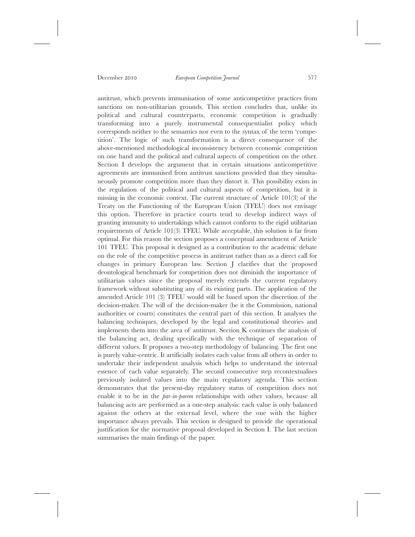antitrust, which prevents immunisation of some anticompetitive practices from sanctions on non-utilitarian grounds. This section concludes that, unlike its political and cultural counterparts, economic competition is gradually transforming into a purely instrumental consequentialist policy which corresponds neither to the semantics nor even to the syntax of the term 'competition'. The logic of such transformation is a direct consequence of the above-mentioned methodological inconsistency between economic competition on one hand and the political and cultural aspects of competition on the other. Section I develops the argument that in certain situations anticompetitive agreements are immunised from antitrust sanctions provided that they simultaneously promote competition more than they distort it. This possibility exists in the regulation of the political and cultural aspects of competition, but it is missing in the economic context. The current structure of Article 101(3) of the Treaty on the Functioning of the European Union (TFEU) does not envisage this option. Therefore in practice courts tend to develop indirect ways of granting immunity to undertakings which cannot conform to the rigid utilitarian requirements of Article 101(3) TFEU. While acceptable, this solution is far from optimal. For this reason the section proposes a conceptual amendment of Article 101 TFEU. This proposal is designed as a contribution to the academic debate on the role of the competitive process in antitrust rather than as a direct call for changes in primary European law. Section J clarifies that the proposed deontological benchmark for competition does not diminish the importance of utilitarian values since the proposal merely extends the current regulatory framework without substituting any of its existing parts. The application of the amended Article 101 (3) TFEU would still be based upon the discretion of the decision-maker. The will of the decision-maker (be it the Commission, national authorities or courts) constitutes the central part of this section. It analyses the balancing techniques, developed by the legal and constitutional theories and implements them into the area of antitrust. Section K continues the analysis of the balancing act, dealing specifically with the technique of separation of different values. It proposes a two-step methodology of balancing. The first one is purely value-centric. It artificially isolates each value from all others in order to undertake their independent analysis which helps to understand the internal essence of each value separately. The second consecutive step recontextualises previously isolated values into the main regulatory agenda. This section demonstrates that the present-day regulatory status of competition does not enable it to be in the *par-in-parem* relationships with other values, because all balancing acts are performed as a one-step analysis: each value is only balanced against the others at the external level, where the one with the higher importance always prevails. This section is designed to provide the operational justification for the normative proposal developed in Section I. The last section summarises the main findings of the paper.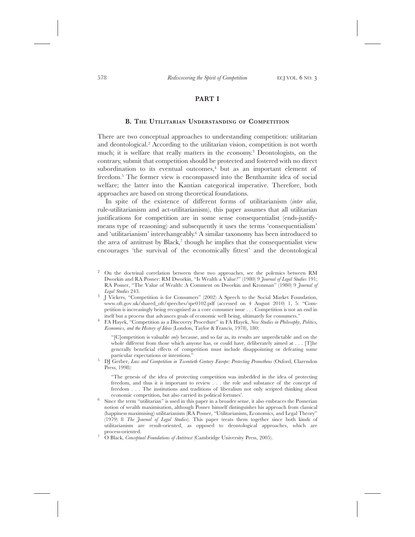# **PART I**

#### **B. THE UTILITARIAN UNDERSTANDING OF COMPETITION**

There are two conceptual approaches to understanding competition: utilitarian and deontological.2 According to the utilitarian vision, competition is not worth much; it is welfare that really matters in the economy.3 Deontologists, on the contrary, submit that competition should be protected and fostered with no direct subordination to its eventual outcomes, $4$  but as an important element of freedom.5 The former view is encompassed into the Benthamite idea of social welfare; the latter into the Kantian categorical imperative. Therefore, both approaches are based on strong theoretical foundations.

In spite of the existence of different forms of utilitarianism (*inter alia*, rule-utilitarianism and act-utilitarianism), this paper assumes that all utilitarian justifications for competition are in some sense consequentialist (ends-justifymeans type of reasoning) and subsequently it uses the terms 'consequentialism' and 'utilitarianism' interchangeably.<sup>6</sup> A similar taxonomy has been introduced to the area of antitrust by Black, $^7$  though he implies that the consequentialist view encourages 'the survival of the economically fittest' and the deontological

<sup>3</sup> J Vickers, "Competition is for Consumers" (2002) A Speech to the Social Market Foundation, www.oft.gov.uk/shared\_oft/speeches/spe0102.pdf (accessed on 4 August 2010) 1, 5: "Competition is increasingly being recognised as a core consumer issue . . . Competition is not an end in

<sup>4</sup> FA Hayek, "Competition as a Discovery Procedure" in FA Hayek, *New Studies in Philosophy, Politics*, *Economics, and the History of Ideas* (London, Taylor & Francis, 1978), 180:

"[C]ompetition is valuable *only* because, and so far as, its results are unpredictable and on the whole different from those which anyone has, or could have, deliberately aimed at . . . [T]he generally beneficial effects of competition must include disappointing or defeating some

<sup>5</sup> DJ Gerber, *Law and Competition in Twentieth Century Europe: Protecting Prometheus* (Oxford, Clarendon Press, 1998):

"The genesis of the idea of protecting competition was imbedded in the idea of protecting freedom, and thus it is important to review . . . the role and substance of the concept of freedom . . . The institutions and traditions of liberalism not only scripted thinking about economic competition, but also carried its political fortunes'.

 $6$  Since the term "utilitarian" is used in this paper in a broader sense, it also embraces the Posnerian notion of wealth maximisation, although Posner himself distinguishes his approach from classical (happiness maximising) utilitarianism (RA Posner, "Utilitarianism, Economics, and Legal Theory" (1979) 8 *The Journal of Legal Studies*). This paper treats them together since both kinds of utilitarianism are result-oriented, as opposed to deontological approaches, which are

<sup>2</sup> On the doctrinal correlation between these two approaches, see the polemics between RM Dworkin and RA Posner: RM Dworkin, "Is Wealth a Value?" (1980) 9 *Journal of Legal Studies* 191; RA Posner, "The Value of Wealth: A Comment on Dworkin and Kronman" (1980) 9 *Journal of*

<sup>&</sup>lt;sup>7</sup> O Black, *Conceptual Foundations of Antitrust* (Cambridge University Press, 2005).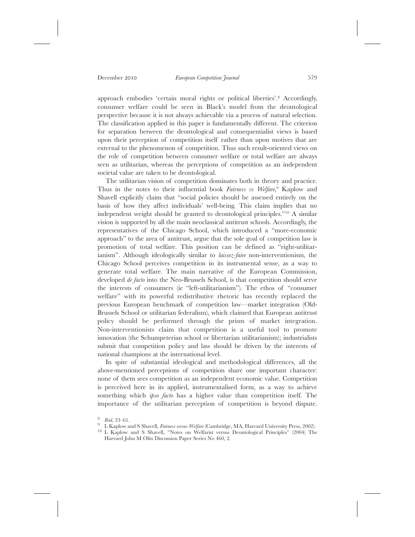approach embodies 'certain moral rights or political liberties'.8 Accordingly, consumer welfare could be seen in Black's model from the deontological perspective because it is not always achievable via a process of natural selection. The classification applied in this paper is fundamentally different. The criterion for separation between the deontological and consequentialist views is based upon their perception of competition itself rather than upon motives that are external to the phenomenon of competition. Thus such result-oriented views on the role of competition between consumer welfare or total welfare are always seen as utilitarian, whereas the perceptions of competition as an independent societal value are taken to be deontological.

The utilitarian vision of competition dominates both in theory and practice. Thus in the notes to their influential book *Fairness vs Welfare*, <sup>9</sup> Kaplow and Shavell explicitly claim that "social policies should be assessed entirely on the basis of how they affect individuals' well-being. This claim implies that no independent weight should be granted to deontological principles."10 A similar vision is supported by all the main neoclassical antitrust schools. Accordingly, the representatives of the Chicago School, which introduced a "more-economic approach" to the area of antitrust, argue that the sole goal of competition law is promotion of total welfare. This position can be defined as "right-utilitarianism". Although ideologically similar to *laissez-faire* non-interventionism, the Chicago School perceives competition in its instrumental sense, as a way to generate total welfare. The main narrative of the European Commission, developed *de facto* into the Neo-Brussels School, is that competition should serve the interests of consumers (ie "left-utilitarianism"). The ethos of "consumer welfare" with its powerful redistributive rhetoric has recently replaced the previous European benchmark of competition law—market integration (Old-Brussels School or utilitarian federalism), which claimed that European antitrust policy should be performed through the prism of market integration. Non-interventionists claim that competition is a useful tool to promote innovation (the Schumpeterian school or libertarian utilitarianism); industrialists submit that competition policy and law should be driven by the interests of national champions at the international level.

In spite of substantial ideological and methodological differences, all the above-mentioned perceptions of competition share one important character: none of them sees competition as an independent economic value. Competition is perceived here in its applied, instrumentalised form, as a way to achieve something which *ipso facto* has a higher value than competition itself. The importance of the utilitarian perception of competition is beyond dispute.

<sup>&</sup>lt;sup>8</sup> *Ibid*, 33–61.<br><sup>9</sup> L Kaplow and S Shavell, *Fairness versus Welfare* (Cambridge, MA, Harvard University Press, 2002).<br><sup>10</sup> L Kaplow and S Shavell, "Notes on Welfarist versus Deontological Principles" (2004) The

Harvard John M Olin Discussion Paper Series No 460, 2.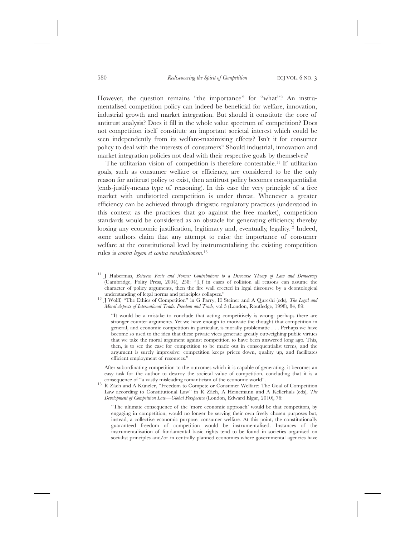However, the question remains "the importance" for "what"? An instrumentalised competition policy can indeed be beneficial for welfare, innovation, industrial growth and market integration. But should it constitute the core of antitrust analysis? Does it fill in the whole value spectrum of competition? Does not competition itself constitute an important societal interest which could be seen independently from its welfare-maximising effects? Isn't it for consumer policy to deal with the interests of consumers? Should industrial, innovation and market integration policies not deal with their respective goals by themselves?

The utilitarian vision of competition is therefore contestable.11 If utilitarian goals, such as consumer welfare or efficiency, are considered to be the only reason for antitrust policy to exist, then antitrust policy becomes consequentialist (ends-justify-means type of reasoning). In this case the very principle of a free market with undistorted competition is under threat. Whenever a greater efficiency can be achieved through dirigistic regulatory practices (understood in this context as the practices that go against the free market), competition standards would be considered as an obstacle for generating efficiency, thereby loosing any economic justification, legitimacy and, eventually, legality.<sup>12</sup> Indeed, some authors claim that any attempt to raise the importance of consumer welfare at the constitutional level by instrumentalising the existing competition rules is *contra legem et contra constitutionem*. 13

- <sup>11</sup> J Habermas, *Between Facts and Norms: Contributions to a Discourse Theory of Law and Democracy* (Cambridge, Polity Press, 2004), 258: "[I]f in cases of collision all reasons can assume the character of policy arguments, then the fire wall erected in legal discourse by a deontological
- understanding of legal norms and principles collapses." <sup>12</sup> J Wolff, "The Ethics of Competition" in G Parry, H Steiner and A Qureshi (eds), *The Legal and Moral Aspects of International Trade: Freedom and Trade*, vol 3 (London, Routledge, 1998), 84, 89:

"It would be a mistake to conclude that acting competitively is wrong: perhaps there are stronger counter-arguments. Yet we have enough to motivate the thought that competition in general, and economic competition in particular, is morally problematic ...Perhaps we have become so used to the idea that these private vices generate greatly outweighing public virtues that we take the moral argument against competition to have been answered long ago. This, then, is to see the case for competition to be made out in consequentialist terms, and the argument is surely impressive: competition keeps prices down, quality up, and facilitates efficient employment of resources."

After subordinating competition to the outcomes which it is capable of generating, it becomes an easy task for the author to destroy the societal value of competition, concluding that it is a

consequence of "a vastly misleading romanticism of the economic world". <sup>13</sup> R Zäch and A Künzler, "Freedom to Compete or Consumer Welfare: The Goal of Competition Law according to Constitutional Law" in R Zäch, A Heinemann and A Kellerhals (eds), *The Development of Competition Law—Global Perspective* (London, Edward Elgar, 2010), 76:

"The ultimate consequence of the 'more economic approach' would be that competitors, by engaging in competition, would no longer be serving their own freely chosen purposes but, instead, a collective economic purpose, consumer welfare. At this point, the constitutionally guaranteed freedom of competition would be instrumentalised. Instances of the instrumentalisation of fundamental basic rights tend to be found in societies organised on socialist principles and/or in centrally planned economies where governmental agencies have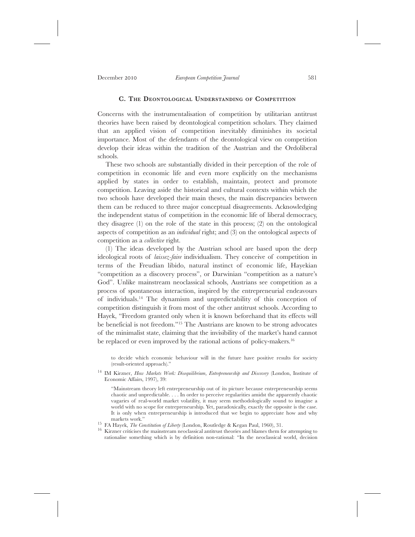# **C. THE DEONTOLOGICAL UNDERSTANDING OF COMPETITION**

Concerns with the instrumentalisation of competition by utilitarian antitrust theories have been raised by deontological competition scholars. They claimed that an applied vision of competition inevitably diminishes its societal importance. Most of the defendants of the deontological view on competition develop their ideas within the tradition of the Austrian and the Ordoliberal schools.

These two schools are substantially divided in their perception of the role of competition in economic life and even more explicitly on the mechanisms applied by states in order to establish, maintain, protect and promote competition. Leaving aside the historical and cultural contexts within which the two schools have developed their main theses, the main discrepancies between them can be reduced to three major conceptual disagreements. Acknowledging the independent status of competition in the economic life of liberal democracy, they disagree (1) on the role of the state in this process; (2) on the ontological aspects of competition as an *individual* right; and (3) on the ontological aspects of competition as a *collective* right.

(1) The ideas developed by the Austrian school are based upon the deep ideological roots of *laissez-faire* individualism. They conceive of competition in terms of the Freudian libido, natural instinct of economic life, Hayekian "competition as a discovery process", or Darwinian "competition as a nature's God". Unlike mainstream neoclassical schools, Austrians see competition as a process of spontaneous interaction, inspired by the entrepreneurial endeavours of individuals.14 The dynamism and unpredictability of this conception of competition distinguish it from most of the other antitrust schools. According to Hayek, "Freedom granted only when it is known beforehand that its effects will be beneficial is not freedom."15 The Austrians are known to be strong advocates of the minimalist state, claiming that the invisibility of the market's hand cannot be replaced or even improved by the rational actions of policy-makers.<sup>16</sup>

to decide which economic behaviour will in the future have positive results for society (result-oriented approach)."

"Mainstream theory left entrepreneurship out of its picture because entrepreneurship seems chaotic and unpredictable. . . . In order to perceive regularities amidst the apparently chaotic vagaries of real-world market volatility, it may seem methodologically sound to imagine a world with no scope for entrepreneurship. Yet, paradoxically, exactly the opposite is the case. It is only when entrepreneurship is introduced that we begin to appreciate how and why

<sup>15</sup> FA Hayek, *The Constitution of Liberty* (London, Routledge & Kegan Paul, 1960), 31. 16 Kirzner criticises the mainstream neoclassical antitrust theories and blames them for attempting to rationalise something which is by definition non-rational: "In the neoclassical world, decision

<sup>14</sup> IM Kirzner, *How Markets Work: Disequilibrium, Entrepreneurship and Discovery* (London, Institute of Economic Affairs, 1997), 39: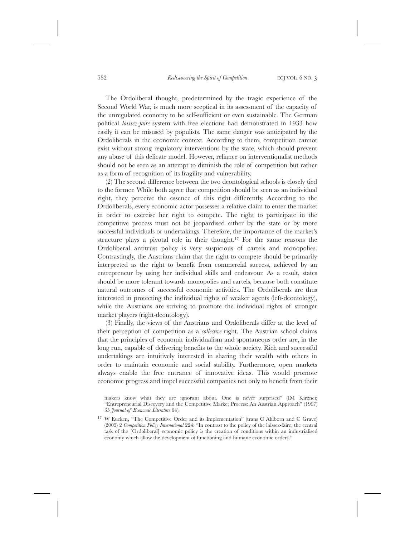The Ordoliberal thought, predetermined by the tragic experience of the Second World War, is much more sceptical in its assessment of the capacity of the unregulated economy to be self-sufficient or even sustainable. The German political *laissez-faire* system with free elections had demonstrated in 1933 how easily it can be misused by populists. The same danger was anticipated by the Ordoliberals in the economic context. According to them, competition cannot exist without strong regulatory interventions by the state, which should prevent any abuse of this delicate model. However, reliance on interventionalist methods should not be seen as an attempt to diminish the role of competition but rather as a form of recognition of its fragility and vulnerability.

(2) The second difference between the two deontological schools is closely tied to the former. While both agree that competition should be seen as an individual right, they perceive the essence of this right differently. According to the Ordoliberals, every economic actor possesses a relative claim to enter the market in order to exercise her right to compete. The right to participate in the competitive process must not be jeopardised either by the state or by more successful individuals or undertakings. Therefore, the importance of the market's structure plays a pivotal role in their thought.<sup>17</sup> For the same reasons the Ordoliberal antitrust policy is very suspicious of cartels and monopolies. Contrastingly, the Austrians claim that the right to compete should be primarily interpreted as the right to benefit from commercial success, achieved by an entrepreneur by using her individual skills and endeavour. As a result, states should be more tolerant towards monopolies and cartels, because both constitute natural outcomes of successful economic activities. The Ordoliberals are thus interested in protecting the individual rights of weaker agents (left-deontology), while the Austrians are striving to promote the individual rights of stronger market players (right-deontology).

(3) Finally, the views of the Austrians and Ordoliberals differ at the level of their perception of competition as a *collective* right. The Austrian school claims that the principles of economic individualism and spontaneous order are, in the long run, capable of delivering benefits to the whole society. Rich and successful undertakings are intuitively interested in sharing their wealth with others in order to maintain economic and social stability. Furthermore, open markets always enable the free entrance of innovative ideas. This would promote economic progress and impel successful companies not only to benefit from their

makers know what they are ignorant about. One is never surprised" (IM Kirzner, "Entrepreneurial Discovery and the Competitive Market Process: An Austrian Approach" (1997) 35 *Journal of Economic Literature* 64).

<sup>&</sup>lt;sup>17</sup> W Eucken, "The Competitive Order and its Implementation" (trans C Ahlborn and C Grave) (2005) 2 *Competition Policy International* 224: "In contrast to the policy of the laissez-faire, the central task of the [Ordoliberal] economic policy is the creation of conditions within an industrialised economy which allow the development of functioning and humane economic orders."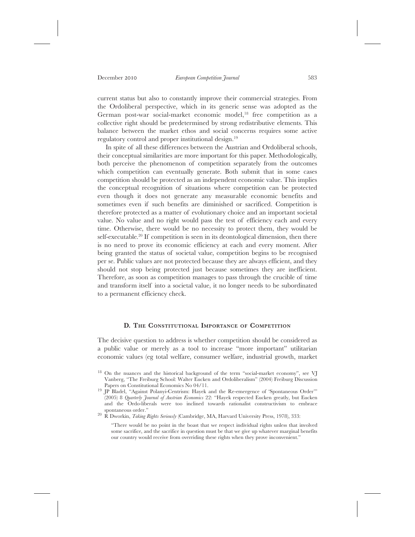current status but also to constantly improve their commercial strategies. From the Ordoliberal perspective, which in its generic sense was adopted as the German post-war social-market economic model,18 free competition as a collective right should be predetermined by strong redistributive elements. This balance between the market ethos and social concerns requires some active regulatory control and proper institutional design.19

In spite of all these differences between the Austrian and Ordoliberal schools, their conceptual similarities are more important for this paper. Methodologically, both perceive the phenomenon of competition separately from the outcomes which competition can eventually generate. Both submit that in some cases competition should be protected as an independent economic value. This implies the conceptual recognition of situations where competition can be protected even though it does not generate any measurable economic benefits and sometimes even if such benefits are diminished or sacrificed. Competition is therefore protected as a matter of evolutionary choice and an important societal value. No value and no right would pass the test of efficiency each and every time. Otherwise, there would be no necessity to protect them, they would be self-executable.<sup>20</sup> If competition is seen in its deontological dimension, then there is no need to prove its economic efficiency at each and every moment. After being granted the status of societal value, competition begins to be recognised per se. Public values are not protected because they are always efficient, and they should not stop being protected just because sometimes they are inefficient. Therefore, as soon as competition manages to pass through the crucible of time and transform itself into a societal value, it no longer needs to be subordinated to a permanent efficiency check.

# **D. THE CONSTITUTIONAL IMPORTANCE OF COMPETITION**

The decisive question to address is whether competition should be considered as a public value or merely as a tool to increase "more important" utilitarian economic values (eg total welfare, consumer welfare, industrial growth, market

<sup>20</sup> R Dworkin, *Taking Rights Seriously* (Cambridge, MA, Harvard University Press, 1978), 333:

<sup>&</sup>lt;sup>18</sup> On the nuances and the historical background of the term "social-market economy", see VJ Vanberg, "The Freiburg School: Walter Eucken and Ordoliberalism" (2004) Freiburg Discussion

<sup>&</sup>lt;sup>19</sup> IP Bladel, "Against Polanyi-Centrism: Hayek and the Re-emergence of 'Spontaneous Order'" (2005) 8 *Quarterly Journal of Austrian Economics* 22: "Hayek respected Eucken greatly, but Eucken and the Ordo-liberals were too inclined towards rationalist constructivism to embrace

<sup>&</sup>quot;There would be no point in the boast that we respect individual rights unless that involved some sacrifice, and the sacrifice in question must be that we give up whatever marginal benefits our country would receive from overriding these rights when they prove inconvenient."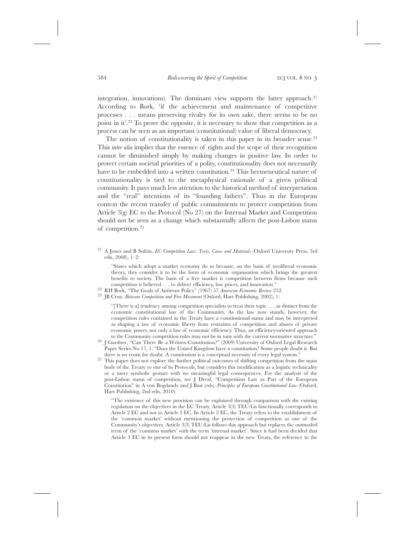integration, innovations). The dominant view supports the latter approach.<sup>21</sup> According to Bork, 'if the achievement and maintenance of competitive processes . . . means preserving rivalry for its own sake, there seems to be no point in it'.22 To prove the opposite, it is necessary to show that competition as a process can be seen as an important (constitutional) value of liberal democracy.

The notion of constitutionality is taken in this paper in its broader sense.<sup>23</sup> This *inter alia* implies that the essence of rights and the scope of their recognition cannot be diminished simply by making changes in positive law. In order to protect certain societal priorities of a polity, constitutionality does not necessarily have to be embedded into a written constitution.<sup>24</sup> This hermeneutical nature of constitutionality is tied to the metaphysical rationale of a given political community. It pays much less attention to the historical method of interpretation and the "real" intentions of its "founding fathers". Thus in the European context the recent transfer of public commitments to protect competition from Article 3(g) EC to the Protocol (No 27) on the Internal Market and Competition should not be seen as a change which substantially affects the post-Lisbon status of competition.25

<sup>21</sup> A Jones and B Sufrin, *EC Competition Law: Texts, Cases and Materials* (Oxford University Press, 3rd edn, 2008), 1–2:

"States which adopt a market economy do so because, on the basis of neoliberal economic theory, they consider it to be the form of economic organisation which brings the greatest benefits to society. The basis of a free market is competition between firms because such competition is believed . . . to deliver efficiency, low prices, and innovation."

- 
- <sup>22</sup> RH Bork, "The Goals of Antitrust Policy" (1967) 57 *American Economic Review* 252.<br><sup>23</sup> JB Cruz, *Between Competition and Free Movement* (Oxford, Hart Publishing, 2002), 1:

"[There is a] tendency among competition specialists to treat their topic . . . as distinct from the economic constitutional law of the Community. As the law now stands, however, the competition rules contained in the Treaty have a constitutional status and may be interpreted as shaping a law of economic liberty from restraints of competition and abuses of private economic power, not only a law of economic efficiency. Thus, an efficiency-oriented approach

- to the Community competition rules may not be in tune with the current normative structure." <sup>24</sup> J Gardner, "Can There Be a Written Constitution?" (2009) University of Oxford Legal Research Paper Series No 17, 1: "Does the United Kingdom have a constitution? Some people doubt it. But
- there is no room for doubt. A constitution is a conceptual necessity of every legal system." <sup>25</sup> This paper does not explore the further political outcomes of shifting competition from the main body of the Treaty to one of its Protocols, but considers this modification as a logistic technicality or a mere symbolic gesture with no meaningful legal consequences. For the analysis of the post-Lisbon status of competition, see J Drexl, "Competition Law as Part of the European Constitution" in A von Bogdandy and J Bast (eds), *Principles of European Constitutional Law* (Oxford, Hart Publishing, 2nd edn, 2010):

"The existence of this new provision can be explained through comparison with the existing regulation on the objectives in the EC Treaty. Article 3(3) TEU-Lis functionally corresponds to Article 2 EC and not to Article 3 EC. In Article 2 EC, the Treaty refers to the establishment of the 'common market' without mentioning the protection of competition as one of the Community's objectives. Article 3(3) TEU-Lis follows this approach but replaces the outmoded term of the 'common market' with the term 'internal market'. Since it had been decided that Article 3 EC in its present form should not reappear in the new Treaty, the reference to the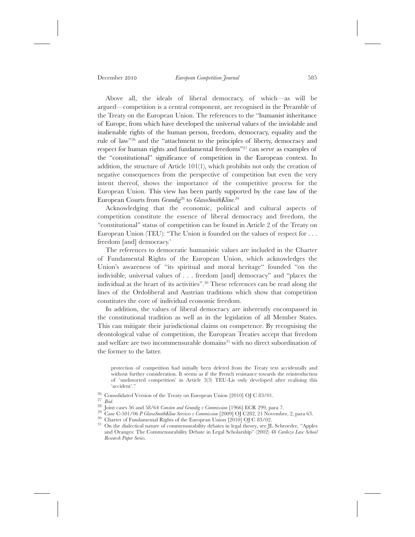Above all, the ideals of liberal democracy, of which—as will be argued—competition is a central component, are recognised in the Preamble of the Treaty on the European Union. The references to the "humanist inheritance of Europe, from which have developed the universal values of the inviolable and inalienable rights of the human person, freedom, democracy, equality and the rule of law"26 and the "attachment to the principles of liberty, democracy and respect for human rights and fundamental freedoms"27 can serve as examples of the "constitutional" significance of competition in the European context. In addition, the structure of Article 101(1), which prohibits not only the creation of negative consequences from the perspective of competition but even the very intent thereof, shows the importance of the competitive process for the European Union. This view has been partly supported by the case law of the European Courts from *Grundig*<sup>28</sup> to *GlaxoSmithKline*. 29

Acknowledging that the economic, political and cultural aspects of competition constitute the essence of liberal democracy and freedom, the "constitutional" status of competition can be found in Article 2 of the Treaty on European Union (TEU): "The Union is founded on the values of respect for . . . freedom [and] democracy.'

The references to democratic humanistic values are included in the Charter of Fundamental Rights of the European Union, which acknowledges the Union's awareness of "its spiritual and moral heritage" founded "on the indivisible, universal values of . . . freedom [and] democracy" and "places the individual at the heart of its activities".30 These references can be read along the lines of the Ordoliberal and Austrian traditions which show that competition constitutes the core of individual economic freedom.

In addition, the values of liberal democracy are inherently encompassed in the constitutional tradition as well as in the legislation of all Member States. This can mitigate their jurisdictional claims on competence. By recognising the deontological value of competition, the European Treaties accept that freedom and welfare are two incommensurable domains<sup>31</sup> with no direct subordination of the former to the latter.

protection of competition had initially been deleted from the Treaty text accidentally and without further consideration. It seems as if the French resistance towards the reintroduction of 'undistorted competition' in Article 3(3) TEU-Lis only developed after realising this 'accident'."

<sup>26</sup> Consolidated Version of the Treaty on European Union [2010] OJ C 83/01.<br><sup>27</sup> *Ibid.*<br><sup>28</sup> Joint cases 56 and 58/64 *Consten and Grundig v Commission* [1966] ECR 299, para 7.<br><sup>29</sup> Case C-501/06 *P GlaxoSmithKline Serv* 

and Oranges: The Commensurability Debate in Legal Scholarship" (2002) 48 *Cardozo Law School Research Paper Series*.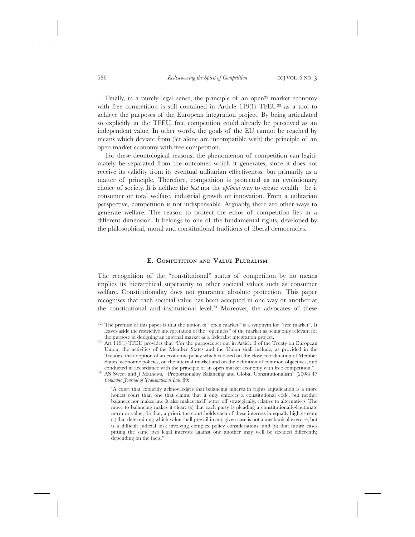Finally, in a purely legal sense, the principle of an open<sup>32</sup> market economy with free competition is still contained in Article 119(1) TFEU<sup>33</sup> as a tool to achieve the purposes of the European integration project. By being articulated so explicitly in the TFEU, free competition could already be perceived as an independent value. In other words, the goals of the EU cannot be reached by means which deviate from (let alone are incompatible with) the principle of an open market economy with free competition.

For these deontological reasons, the phenomenon of competition can legitimately be separated from the outcomes which it generates, since it does not receive its validity from its eventual utilitarian effectiveness, but primarily as a matter of principle. Therefore, competition is protected as an evolutionary choice of society. It is neither the *best* nor the *optimal* way to create wealth—be it consumer or total welfare, industrial growth or innovation. From a utilitarian perspective, competition is not indispensable. Arguably, there are other ways to generate welfare. The reason to protect the ethos of competition lies in a different dimension. It belongs to one of the fundamental rights, developed by the philosophical, moral and constitutional traditions of liberal democracies.

## **E. COMPETITION AND VALUE PLURALISM**

The recognition of the "constitutional" status of competition by no means implies its hierarchical superiority to other societal values such as consumer welfare. Constitutionality does not guarantee absolute protection. This paper recognises that each societal value has been accepted in one way or another at the constitutional and institutional level.34 Moreover, the advocates of these

 $32$  The premise of this paper is that the notion of "open market" is a synonym for "free market". It leaves aside the restrictive interpretation of the "openness" of the market as being only relevant for

 $\frac{33}{31}$  Art 119(1) TFEU provides that "For the purposes set out in Article 3 of the Treaty on European Union, the activities of the Member States and the Union shall include, as provided in the Treaties, the adoption of an economic policy which is based on the close coordination of Member States' economic policies, on the internal market and on the definition of common objectives, and conducted in accordance with the principle of an open market economy with free competition."

 $34$  AS Sweet and J Mathews, "Proportionality Balancing and Global Constitutionalism" (2008) 47 *Columbia Journal of Transnational Law* 89:

<sup>&</sup>quot;A court that explicitly acknowledges that balancing inheres in rights adjudication is a more honest court than one that claims that it only enforces a constitutional code, but neither balances nor makes law. It also makes itself better off strategically, relative to alternatives. The move to balancing makes it clear: (a) that each party is pleading a constitutionally-legitimate norm or value; (b) that, a priori, the court holds each of these interests in equally high esteem; (c) that determining which value shall prevail in any given case is not a mechanical exercise, but is a difficult judicial task involving complex policy considerations; and (d) that future cases pitting the same two legal interests against one another may well be decided differently, depending on the facts."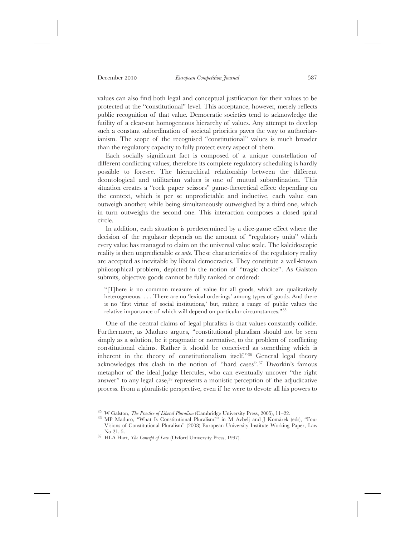values can also find both legal and conceptual justification for their values to be protected at the "constitutional" level. This acceptance, however, merely reflects public recognition of that value. Democratic societies tend to acknowledge the futility of a clear-cut homogeneous hierarchy of values. Any attempt to develop such a constant subordination of societal priorities paves the way to authoritarianism. The scope of the recognised "constitutional" values is much broader than the regulatory capacity to fully protect every aspect of them.

Each socially significant fact is composed of a unique constellation of different conflicting values; therefore its complete regulatory scheduling is hardly possible to foresee. The hierarchical relationship between the different deontological and utilitarian values is one of mutual subordination. This situation creates a "rock–paper–scissors" game-theoretical effect: depending on the context, which is per se unpredictable and inductive, each value can outweigh another, while being simultaneously outweighed by a third one, which in turn outweighs the second one. This interaction composes a closed spiral circle.

In addition, each situation is predetermined by a dice-game effect where the decision of the regulator depends on the amount of "regulatory units" which every value has managed to claim on the universal value scale. The kaleidoscopic reality is then unpredictable *ex ante*. These characteristics of the regulatory reality are accepted as inevitable by liberal democracies. They constitute a well-known philosophical problem, depicted in the notion of "tragic choice". As Galston submits, objective goods cannot be fully ranked or ordered:

"[T]here is no common measure of value for all goods, which are qualitatively heterogeneous. . . . There are no 'lexical orderings' among types of goods. And there is no 'first virtue of social institutions,' but, rather, a range of public values the relative importance of which will depend on particular circumstances."35

One of the central claims of legal pluralists is that values constantly collide. Furthermore, as Maduro argues, "constitutional pluralism should not be seen simply as a solution, be it pragmatic or normative, to the problem of conflicting constitutional claims. Rather it should be conceived as something which is inherent in the theory of constitutionalism itself."36 General legal theory acknowledges this clash in the notion of "hard cases".37 Dworkin's famous metaphor of the ideal Judge Hercules, who can eventually uncover "the right answer" to any legal case, $38$  represents a monistic perception of the adjudicative process. From a pluralistic perspective, even if he were to devote all his powers to

<sup>35</sup> W Galston, *The Practice of Liberal Pluralism* (Cambridge University Press, 2005), 11–22. <sup>36</sup> MP Maduro, "What Is Constitutional Pluralism?" in M Avbelj and J Komárek (eds), "Four Visions of Constitutional Pluralism" (2008) European University Institute Working Paper, Law

<sup>&</sup>lt;sup>37</sup> HLA Hart, *The Concept of Law* (Oxford University Press, 1997).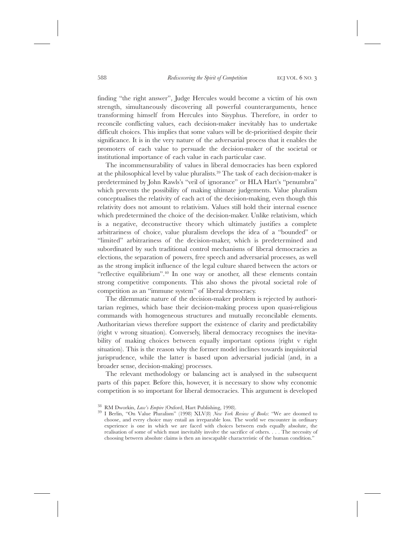finding "the right answer", Judge Hercules would become a victim of his own strength, simultaneously discovering all powerful counterarguments, hence transforming himself from Hercules into Sisyphus. Therefore, in order to reconcile conflicting values, each decision-maker inevitably has to undertake difficult choices. This implies that some values will be de-prioritised despite their significance. It is in the very nature of the adversarial process that it enables the promoters of each value to persuade the decision-maker of the societal or institutional importance of each value in each particular case.

The incommensurability of values in liberal democracies has been explored at the philosophical level by value pluralists.39 The task of each decision-maker is predetermined by John Rawls's "veil of ignorance" or HLA Hart's "penumbra" which prevents the possibility of making ultimate judgements. Value pluralism conceptualises the relativity of each act of the decision-making, even though this relativity does not amount to relativism. Values still hold their internal essence which predetermined the choice of the decision-maker. Unlike relativism, which is a negative, deconstructive theory which ultimately justifies a complete arbitrariness of choice, value pluralism develops the idea of a "bounded" or "limited" arbitrariness of the decision-maker, which is predetermined and subordinated by such traditional control mechanisms of liberal democracies as elections, the separation of powers, free speech and adversarial processes, as well as the strong implicit influence of the legal culture shared between the actors or "reflective equilibrium".<sup>40</sup> In one way or another, all these elements contain strong competitive components. This also shows the pivotal societal role of competition as an "immune system" of liberal democracy.

The dilemmatic nature of the decision-maker problem is rejected by authoritarian regimes, which base their decision-making process upon quasi-religious commands with homogeneous structures and mutually reconcilable elements. Authoritarian views therefore support the existence of clarity and predictability (right v wrong situation). Conversely, liberal democracy recognises the inevitability of making choices between equally important options (right v right situation). This is the reason why the former model inclines towards inquisitorial jurisprudence, while the latter is based upon adversarial judicial (and, in a broader sense, decision-making) processes.

The relevant methodology or balancing act is analysed in the subsequent parts of this paper. Before this, however, it is necessary to show why economic competition is so important for liberal democracies. This argument is developed

<sup>38</sup> RM Dworkin, *Law's Empire* (Oxford, Hart Publishing, 1998). <sup>39</sup> I Berlin, "On Value Pluralism" (1998) XLV(8) *New York Review of Books*: "We are doomed to choose, and every choice may entail an irreparable loss. The world we encounter in ordinary experience is one in which we are faced with choices between ends equally absolute, the realisation of some of which must inevitably involve the sacrifice of others. . . . The necessity of choosing between absolute claims is then an inescapable characteristic of the human condition."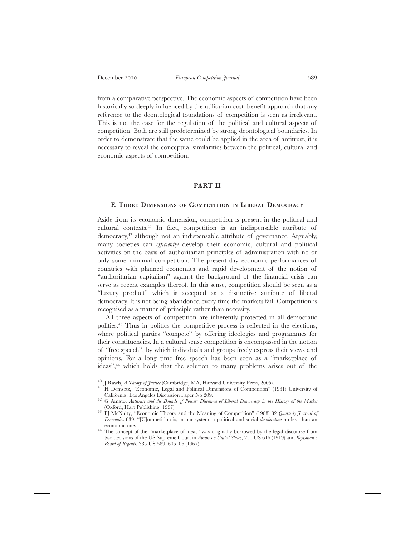from a comparative perspective. The economic aspects of competition have been historically so deeply influenced by the utilitarian cost–benefit approach that any reference to the deontological foundations of competition is seen as irrelevant. This is not the case for the regulation of the political and cultural aspects of competition. Both are still predetermined by strong deontological boundaries. In order to demonstrate that the same could be applied in the area of antitrust, it is necessary to reveal the conceptual similarities between the political, cultural and economic aspects of competition.

## **PART II**

#### **F. THREE DIMENSIONS OF COMPETITION IN LIBERAL DEMOCRACY**

Aside from its economic dimension, competition is present in the political and cultural contexts.41 In fact, competition is an indispensable attribute of democracy,42 although not an indispensable attribute of governance. Arguably, many societies can *efficiently* develop their economic, cultural and political activities on the basis of authoritarian principles of administration with no or only some minimal competition. The present-day economic performances of countries with planned economies and rapid development of the notion of "authoritarian capitalism" against the background of the financial crisis can serve as recent examples thereof. In this sense, competition should be seen as a "luxury product" which is accepted as a distinctive attribute of liberal democracy. It is not being abandoned every time the markets fail. Competition is recognised as a matter of principle rather than necessity.

All three aspects of competition are inherently protected in all democratic polities.43 Thus in politics the competitive process is reflected in the elections, where political parties "compete" by offering ideologies and programmes for their constituencies. In a cultural sense competition is encompassed in the notion of "free speech", by which individuals and groups freely express their views and opinions. For a long time free speech has been seen as a "marketplace of ideas",44 which holds that the solution to many problems arises out of the

- 40 J Rawls, *A Theory of Justice* (Cambridge, MA, Harvard University Press, 2005).<br><sup>41</sup> H Demsetz, "Economic, Legal and Political Dimensions of Competition" (1981) University of California, Los Angeles Discussion Paper No
- <sup>42</sup> G Amato, *Antitrust and the Bounds of Power: Dilemma of Liberal Democracy in the History of the Market* (Oxford, Hart Publishing, 1997).
- <sup>43</sup> PJ McNulty, "Economic Theory and the Meaning of Competition" (1968) 82 *Quarterly Journal of Economics* 639: "[C]ompetition is, in our system, a political and social *desideratum* no less than an
- <sup>44</sup> The concept of the "marketplace of ideas" was originally borrowed by the legal discourse from two decisions of the US Supreme Court in *Abrams v United States*, 250 US 616 (1919) and *Keyishian v Board of Regents*, 385 US 589, 605–06 (1967).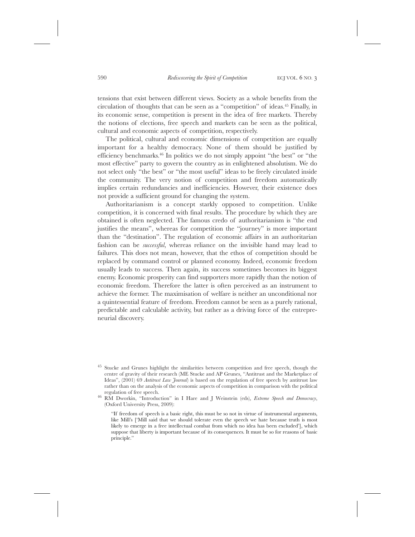tensions that exist between different views. Society as a whole benefits from the circulation of thoughts that can be seen as a "competition" of ideas.45 Finally, in its economic sense, competition is present in the idea of free markets. Thereby the notions of elections, free speech and markets can be seen as the political, cultural and economic aspects of competition, respectively.

The political, cultural and economic dimensions of competition are equally important for a healthy democracy. None of them should be justified by efficiency benchmarks.46 In politics we do not simply appoint "the best" or "the most effective" party to govern the country as in enlightened absolutism. We do not select only "the best" or "the most useful" ideas to be freely circulated inside the community. The very notion of competition and freedom automatically implies certain redundancies and inefficiencies. However, their existence does not provide a sufficient ground for changing the system.

Authoritarianism is a concept starkly opposed to competition. Unlike competition, it is concerned with final results. The procedure by which they are obtained is often neglected. The famous credo of authoritarianism is "the end justifies the means", whereas for competition the "journey" is more important than the "destination". The regulation of economic affairs in an authoritarian fashion can be *successful*, whereas reliance on the invisible hand may lead to failures. This does not mean, however, that the ethos of competition should be replaced by command control or planned economy. Indeed, economic freedom usually leads to success. Then again, its success sometimes becomes its biggest enemy. Economic prosperity can find supporters more rapidly than the notion of economic freedom. Therefore the latter is often perceived as an instrument to achieve the former. The maximisation of welfare is neither an unconditional nor a quintessential feature of freedom. Freedom cannot be seen as a purely rational, predictable and calculable activity, but rather as a driving force of the entrepreneurial discovery.

<sup>&</sup>lt;sup>45</sup> Stucke and Grunes highlight the similarities between competition and free speech, though the centre of gravity of their research (ME Stucke and AP Grunes, "Antitrust and the Marketplace of Ideas", (2001) 69 *Antitrust Law Journal*) is based on the regulation of free speech by antitrust law rather than on the analysis of the economic aspects of competition in comparison with the political

regulation of free speech. <sup>46</sup> RM Dworkin, "Introduction" in I Hare and J Weinstein (eds), *Extreme Speech and Democracy*, (Oxford University Press, 2009):

<sup>&</sup>quot;If freedom of speech is a basic right, this must be so not in virtue of instrumental arguments, like Mill's ['Mill said that we should tolerate even the speech we hate because truth is most likely to emerge in a free intellectual combat from which no idea has been excluded'], which suppose that liberty is important because of its consequences. It must be so for reasons of basic principle."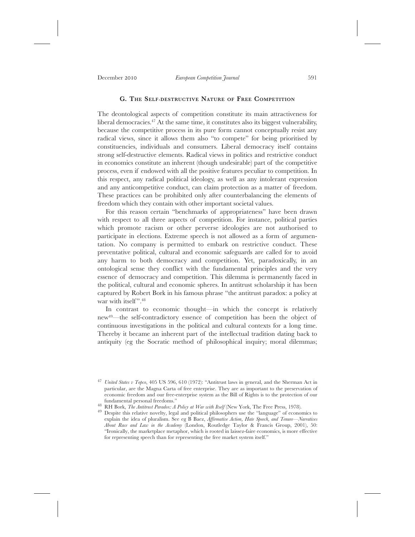# **G. THE SELF-DESTRUCTIVE NATURE OF FREE COMPETITION**

The deontological aspects of competition constitute its main attractiveness for liberal democracies.47 At the same time, it constitutes also its biggest vulnerability, because the competitive process in its pure form cannot conceptually resist any radical views, since it allows them also "to compete" for being prioritised by constituencies, individuals and consumers. Liberal democracy itself contains strong self-destructive elements. Radical views in politics and restrictive conduct in economics constitute an inherent (though undesirable) part of the competitive process, even if endowed with all the positive features peculiar to competition. In this respect, any radical political ideology, as well as any intolerant expression and any anticompetitive conduct, can claim protection as a matter of freedom. These practices can be prohibited only after counterbalancing the elements of freedom which they contain with other important societal values.

For this reason certain "benchmarks of appropriateness" have been drawn with respect to all three aspects of competition. For instance, political parties which promote racism or other perverse ideologies are not authorised to participate in elections. Extreme speech is not allowed as a form of argumentation. No company is permitted to embark on restrictive conduct. These preventative political, cultural and economic safeguards are called for to avoid any harm to both democracy and competition. Yet, paradoxically, in an ontological sense they conflict with the fundamental principles and the very essence of democracy and competition. This dilemma is permanently faced in the political, cultural and economic spheres. In antitrust scholarship it has been captured by Robert Bork in his famous phrase "the antitrust paradox: a policy at war with itself".<sup>48</sup>

In contrast to economic thought—in which the concept is relatively new49—the self-contradictory essence of competition has been the object of continuous investigations in the political and cultural contexts for a long time. Thereby it became an inherent part of the intellectual tradition dating back to antiquity (eg the Socratic method of philosophical inquiry; moral dilemmas;

<sup>47</sup> *United States v Topco*, 405 US 596, 610 (1972): "Antitrust laws in general, and the Sherman Act in particular, are the Magna Carta of free enterprise. They are as important to the preservation of economic freedom and our free-enterprise system as the Bill of Rights is to the protection of our

<sup>&</sup>lt;sup>48</sup> RH Bork, *The Antitrust Paradox: A Policy at War with Itself* (New York, The Free Press, 1978).<br><sup>49</sup> Despite this relative novelty, legal and political philosophers use the "language" of economics to explain the idea of pluralism. See eg B Baez, *Affirmative Action, Hate Speech, and Tenure—Narratives About Race and Law in the Academy* (London, Routledge Taylor & Francis Group, 2001), 50: "Ironically, the marketplace metaphor, which is rooted in laissez-faire economics, is more effective for representing speech than for representing the free market system itself."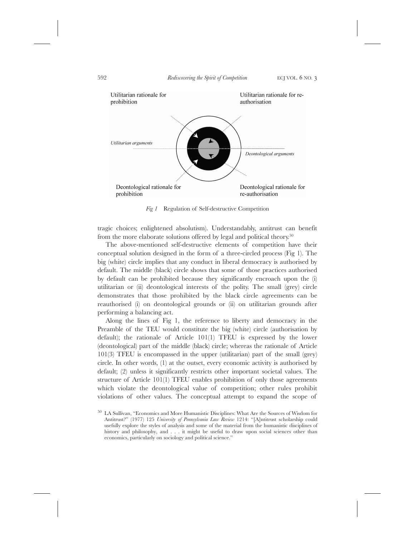

*Fig 1* Regulation of Self-destructive Competition

tragic choices; enlightened absolutism). Understandably, antitrust can benefit from the more elaborate solutions offered by legal and political theory.<sup>50</sup>

The above-mentioned self-destructive elements of competition have their conceptual solution designed in the form of a three-circled process (Fig 1). The big (white) circle implies that any conduct in liberal democracy is authorised by default. The middle (black) circle shows that some of those practices authorised by default can be prohibited because they significantly encroach upon the (i) utilitarian or (ii) deontological interests of the polity. The small (grey) circle demonstrates that those prohibited by the black circle agreements can be reauthorised (i) on deontological grounds or (ii) on utilitarian grounds after performing a balancing act.

Along the lines of Fig 1, the reference to liberty and democracy in the Preamble of the TEU would constitute the big (white) circle (authorisation by default); the rationale of Article 101(1) TFEU is expressed by the lower (deontological) part of the middle (black) circle; whereas the rationale of Article 101(3) TFEU is encompassed in the upper (utilitarian) part of the small (grey) circle. In other words, (1) at the outset, every economic activity is authorised by default; (2) unless it significantly restricts other important societal values. The structure of Article 101(1) TFEU enables prohibition of only those agreements which violate the deontological value of competition; other rules prohibit violations of other values. The conceptual attempt to expand the scope of

<sup>50</sup> LA Sullivan, "Economics and More Humanistic Disciplines: What Are the Sources of Wisdom for Antitrust?" (1977) 125 *University of Pennsylvania Law Review* 1214: "[A]ntitrust scholarship could usefully explore the styles of analysis and some of the material from the humanistic disciplines of history and philosophy, and . . . it might be useful to draw upon social sciences other than economics, particularly on sociology and political science."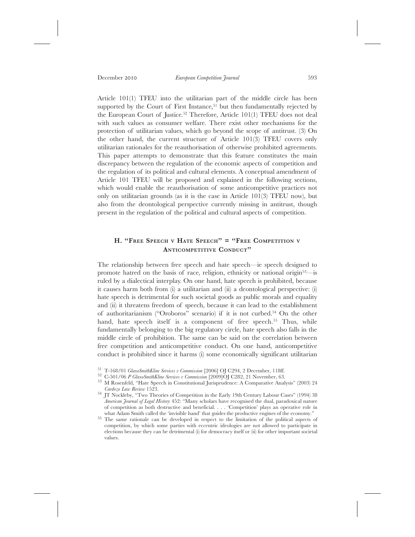Article 101(1) TFEU into the utilitarian part of the middle circle has been supported by the Court of First Instance,<sup>51</sup> but then fundamentally rejected by the European Court of Justice.52 Therefore, Article 101(1) TFEU does not deal with such values as consumer welfare. There exist other mechanisms for the protection of utilitarian values, which go beyond the scope of antitrust. (3) On the other hand, the current structure of Article 101(3) TFEU covers only utilitarian rationales for the reauthorisation of otherwise prohibited agreements. This paper attempts to demonstrate that this feature constitutes the main discrepancy between the regulation of the economic aspects of competition and the regulation of its political and cultural elements. A conceptual amendment of Article 101 TFEU will be proposed and explained in the following sections, which would enable the reauthorisation of some anticompetitive practices not only on utilitarian grounds (as it is the case in Article 101(3) TFEU now), but also from the deontological perspective currently missing in antitrust, though present in the regulation of the political and cultural aspects of competition.

# **H. "FREE SPEECH V HATE SPEECH" = "FREE COMPETITION V ANTICOMPETITIVE CONDUCT"**

The relationship between free speech and hate speech—ie speech designed to promote hatred on the basis of race, religion, ethnicity or national origin53—is ruled by a dialectical interplay. On one hand, hate speech is prohibited, because it causes harm both from (i) a utilitarian and (ii) a deontological perspective: (i) hate speech is detrimental for such societal goods as public morals and equality and (ii) it threatens freedom of speech, because it can lead to the establishment of authoritarianism ("Oroboros" scenario) if it is not curbed.54 On the other hand, hate speech itself is a component of free speech.<sup>55</sup> Thus, while fundamentally belonging to the big regulatory circle, hate speech also falls in the middle circle of prohibition. The same can be said on the correlation between free competition and anticompetitive conduct. On one hand, anticompetitive conduct is prohibited since it harms (i) some economically significant utilitarian

<sup>&</sup>lt;sup>51</sup> T-168/01 *GlaxoSmithKline Services v Commission* [2006] OJ C294, 2 December, 118ff.<br><sup>52</sup> C-501/06 *P GlaxoSmithKline Services v Commission* [2009] OJ C282, 21 November, 63.<br><sup>53</sup> M Rosenfeld, "Hate Speech in Constitut

<sup>&</sup>lt;sup>54</sup> IT Nockleby, "Two Theories of Competition in the Early 19th Century Labour Cases" (1994) 38 *American Journal of Legal History* 452: "Many scholars have recognised the dual, paradoxical nature of competition as both destructive and beneficial. . . . 'Competition' plays an operative role in

<sup>&</sup>lt;sup>55</sup> The same rationale can be developed in respect to the limitation of the political aspects of competition, by which some parties with eccentric ideologies are not allowed to participate in elections because they can be detrimental (i) for democracy itself or (ii) for other important societal values.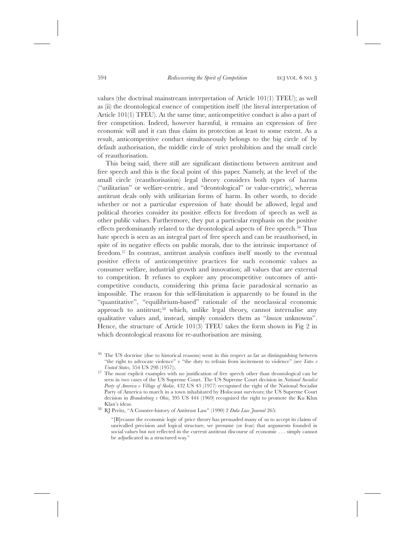values (the doctrinal mainstream interpretation of Article 101(1) TFEU); as well as (ii) the deontological essence of competition itself (the literal interpretation of Article 101(1) TFEU). At the same time, anticompetitive conduct is also a part of free competition. Indeed, however harmful, it remains an expression of free economic will and it can thus claim its protection at least to some extent. As a result, anticompetitive conduct simultaneously belongs to the big circle of by default authorisation, the middle circle of strict prohibition and the small circle of reauthorisation.

This being said, there still are significant distinctions between antitrust and free speech and this is the focal point of this paper. Namely, at the level of the small circle (reauthorisation) legal theory considers both types of harms ("utilitarian" or welfare-centric, and "deontological" or value-centric), whereas antitrust deals only with utilitarian forms of harm. In other words, to decide whether or not a particular expression of hate should be allowed, legal and political theories consider its positive effects for freedom of speech as well as other public values. Furthermore, they put a particular emphasis on the positive effects predominantly related to the deontological aspects of free speech.56 Thus hate speech is seen as an integral part of free speech and can be reauthorised, in spite of its negative effects on public morals, due to the intrinsic importance of freedom.57 In contrast, antitrust analysis confines itself mostly to the eventual positive effects of anticompetitive practices for such economic values as consumer welfare, industrial growth and innovation; all values that are external to competition. It refuses to explore any procompetitive outcomes of anticompetitive conducts, considering this prima facie paradoxical scenario as impossible. The reason for this self-limitation is apparently to be found in the "quantitative", "equilibrium-based" rationale of the neoclassical economic approach to antitrust;<sup>58</sup> which, unlike legal theory, cannot internalise any qualitative values and, instead, simply considers them as "*known* unknowns". Hence, the structure of Article 101(3) TFEU takes the form shown in Fig 2 in which deontological reasons for re-authorisation are missing.

<sup>58</sup> RJ Peritz, "A Counter-history of Antitrust Law" (1990) 2 Duke Law Journal 265:

"[B]ecause the economic logic of price theory has persuaded many of us to accept its claims of unrivalled precision and logical structure, we presume (or fear) that arguments founded in social values but not reflected in the current antitrust discourse of economic . . . simply cannot be adjudicated in a structured way."

<sup>56</sup> The US doctrine (due to historical reasons) went in this respect as far as distinguishing between "the right to advocate violence" v "the duty to refrain from incitement to violence" (see *Yates v*

<sup>&</sup>lt;sup>57</sup> The most explicit examples with no justification of free speech other than deontological can be seen in two cases of the US Supreme Court. The US Supreme Court decision in *National Socialist Party of America v Village of Skokie*, 432 US 43 (1977) recognised the right of the National Socialist Party of America to march in a town inhabitated by Holocaust survivors; the US Supreme Court decision in *Brandenburg v Ohio*, 395 US 444 (1969) recognised the right to promote the Ku Klux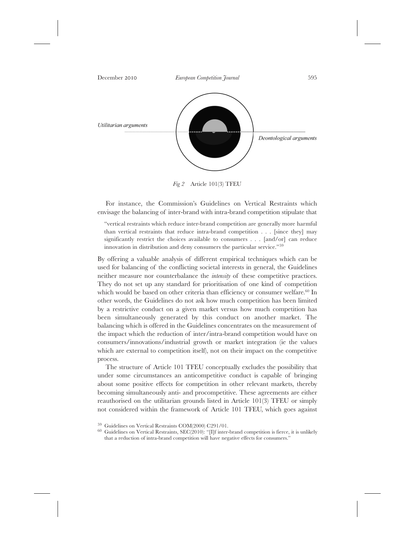

*Fig 2* Article 101(3) TFEU

For instance, the Commission's Guidelines on Vertical Restraints which envisage the balancing of inter-brand with intra-brand competition stipulate that

"vertical restraints which reduce inter-brand competition are generally more harmful than vertical restraints that reduce intra-brand competition . . . [since they] may significantly restrict the choices available to consumers . . . [and/or] can reduce innovation in distribution and deny consumers the particular service."59

By offering a valuable analysis of different empirical techniques which can be used for balancing of the conflicting societal interests in general, the Guidelines neither measure nor counterbalance the *intensity* of these competitive practices. They do not set up any standard for prioritisation of one kind of competition which would be based on other criteria than efficiency or consumer welfare.<sup>60</sup> In other words, the Guidelines do not ask how much competition has been limited by a restrictive conduct on a given market versus how much competition has been simultaneously generated by this conduct on another market. The balancing which is offered in the Guidelines concentrates on the measurement of the impact which the reduction of inter/intra-brand competition would have on consumers/innovations/industrial growth or market integration (ie the values which are external to competition itself), not on their impact on the competitive process.

The structure of Article 101 TFEU conceptually excludes the possibility that under some circumstances an anticompetitive conduct is capable of bringing about some positive effects for competition in other relevant markets, thereby becoming simultaneously anti- and procompetitive. These agreements are either reauthorised on the utilitarian grounds listed in Article 101(3) TFEU or simply not considered within the framework of Article 101 TFEU, which goes against

 $59$  Guidelines on Vertical Restraints COM(2000) C291/01.<br>  $60$  Guidelines on Vertical Restraints, SEC(2010): "[I]f inter-brand competition is fierce, it is unlikely that a reduction of intra-brand competition will have negative effects for consumers."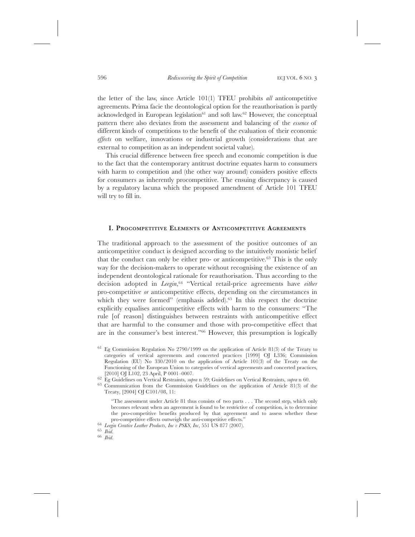the letter of the law, since Article 101(1) TFEU prohibits *all* anticompetitive agreements. Prima facie the deontological option for the reauthorisation is partly acknowledged in European legislation<sup>61</sup> and soft law.<sup>62</sup> However, the conceptual pattern there also deviates from the assessment and balancing of the *essence* of different kinds of competitions to the benefit of the evaluation of their economic *effects* on welfare, innovations or industrial growth (considerations that are external to competition as an independent societal value).

This crucial difference between free speech and economic competition is due to the fact that the contemporary antitrust doctrine equates harm to consumers with harm to competition and (the other way around) considers positive effects for consumers as inherently procompetitive. The ensuing discrepancy is caused by a regulatory lacuna which the proposed amendment of Article 101 TFEU will try to fill in.

# **I. PROCOMPETITIVE ELEMENTS OF ANTICOMPETITIVE AGREEMENTS**

The traditional approach to the assessment of the positive outcomes of an anticompetitive conduct is designed according to the intuitively monistic belief that the conduct can only be either pro- or anticompetitive.63 This is the only way for the decision-makers to operate without recognising the existence of an independent deontological rationale for reauthorisation. Thus according to the decision adopted in *Leegin*, <sup>64</sup> "Vertical retail-price agreements have *either* pro-competitive *or* anticompetitive effects, depending on the circumstances in which they were formed" (emphasis added).<sup>65</sup> In this respect the doctrine explicitly equalises anticompetitive effects with harm to the consumers: "The rule [of reason] distinguishes between restraints with anticompetitive effect that are harmful to the consumer and those with pro-competitive effect that are in the consumer's best interest."66 However, this presumption is logically

 $61$  Eg Commission Regulation No 2790/1999 on the application of Article 81(3) of the Treaty to categories of vertical agreements and concerted practices [1999] OJ L336; Commission Regulation (EU) No 330/2010 on the application of Article 101(3) of the Treaty on the Functioning of the European Union to categories of vertical agreements and concerted practices, [2010] OJ L102, 23 April, P 0001-0007.

 $^{62}$  Eg Guidelines on Vertical Restraints, *supra* n 59; Guidelines on Vertical Restraints, *supra* n 60.<br><sup>63</sup> Communication from the Commission Guidelines on the application of Article 81(3) of the

Treaty, [2004] OJ C101/08, 11:

<sup>&</sup>quot;The assessment under Article 81 thus consists of two parts . . . The second step, which only becomes relevant when an agreement is found to be restrictive of competition, is to determine the pro-competitive benefits produced by that agreement and to assess whether these

pro-competitive effects outweigh the anti-competitive effects." <sup>64</sup> *Leegin Creative Leather Products, Inc v PSKS, Inc*, 551 US 877 (2007). <sup>65</sup> *Ibid*. <sup>66</sup> *Ibid*.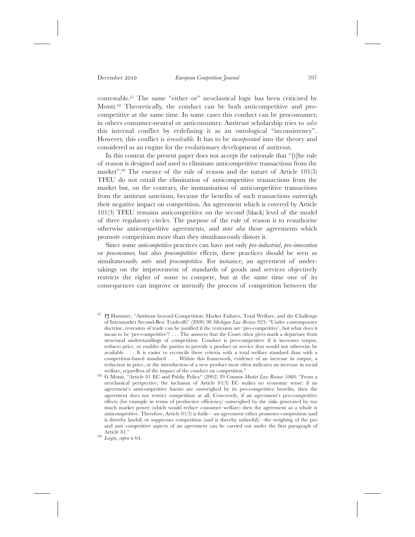contestable.67 The same "either–or" neoclassical logic has been criticised by Monti.<sup>68</sup> Theoretically, the conduct can be both anticompetitive and procompetitive at the same time. In some cases this conduct can be proconsumer, in others consumer-neutral or anticonsumer. Antitrust scholarship tries to *solve* this internal conflict by redefining it as an ontological "inconsistency". However, this conflict is *irresolvable*. It has to be *incorporated* into the theory and considered as an engine for the evolutionary development of antitrust.

In this context the present paper does not accept the rationale that "[t]he rule of reason is designed and used to eliminate anticompetitive transactions from the market".<sup>69</sup> The essence of the rule of reason and the nature of Article 101(3) TFEU do not entail the elimination of anticompetitive transactions from the market but, on the contrary, the immunisation of anticompetitive transactions from the antitrust sanctions, because the benefits of such transactions outweigh their negative impact on competition. An agreement which is covered by Article 101(3) TFEU remains anticompetitive on the second (black) level of the model of three regulatory circles. The purpose of the rule of reason is to reauthorise otherwise anticompetitive agreements, and *inter alia* those agreements which promote competition more than they simultaneously distort it.

Since some *anticompetitive* practices can have not only *pro-industrial*, *pro-innovation* or *proconsumer*, but also *procompetitive* effects, these practices should be seen as simultaneously *anti*- and *procompetitive*. For instance, an agreement of undertakings on the improvement of standards of goods and services objectively restricts the rights of some to compete, but at the same time one of its consequences can improve or intensify the process of competition between the

<sup>67</sup> PJ Hammer, "Antitrust beyond Competition: Market Failures, Total Welfare, and the Challenge of Intramarket Second-Best Tradeoffs" (2000) 98 *Michigan Law Review* 923: "Under contemporary doctrine, restraints of trade can be justified if the restraints are 'pro-competitive', but what does it mean to be 'pro-competitive'? . . . The answers that the Court often gives mark a departure from structural understandings of competition. Conduct is pro-competitive if it increases output, reduces price, or enables the parties to provide a product or service that would not otherwise be available . . . It is easier to reconcile these criteria with a total welfare standard than with a competition-based standard . . . Within this framework, evidence of an increase in output, a reduction in price, or the introduction of a new product most often indicates an increase in social welfare, regardless of the impact of the conduct on competition."

<sup>&</sup>lt;sup>68</sup> G Monti, "Article 81 EC and Public Policy" (2002) 39 *Common Market Law Review* 1060: "From a neoclassical perspective, the inclusion of Article 81(3) EC makes no economic sense: if an agreement's anticompetitive harms are outweighed by its pro-competitive benefits, then the agreement does not restrict competition at all. Conversely, if an agreement's pro-competitive effects (for example in terms of productive efficiency) outweighed by the risks generated by too much market power (which would reduce consumer welfare) then the agreement as a whole is anticompetitive. Therefore, Article 81(3) is futile—an agreement either promotes competition (and is thereby lawful) or suppresses competition (and is thereby unlawful)—the weighing of the pro and anti competitive aspects of an agreement can be carried out under the first paragraph of

Article 81." <sup>69</sup> *Leegin*, *supra* n 64.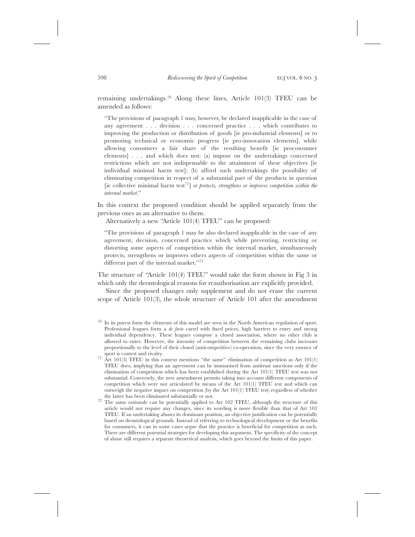remaining undertakings.70 Along these lines, Article 101(3) TFEU can be amended as follows:

"The provisions of paragraph 1 may, however, be declared inapplicable in the case of any agreement . . . decision . . . concerned practice . . . which contributes to improving the production or distribution of goods [ie pro-industrial elements] or to promoting technical or economic progress [ie pro-innovation elements], while allowing consumers a fair share of the resulting benefit [ie proconsumer elements] . . . and which does not: (a) impose on the undertakings concerned restrictions which are not indispensable to the attainment of these objectives [ie individual minimal harm test]; (b) afford such undertakings the possibility of eliminating competition in respect of a substantial part of the products in question [ie collective minimal harm test71] *or protects, strengthens or improves competition within the internal market*."

In this context the proposed condition should be applied separately from the previous ones as an alternative to them.

Alternatively a new "Article 101(4) TFEU" can be proposed:

"The provisions of paragraph 1 may be also declared inapplicable in the case of any agreement, decision, concerned practice which while preventing, restricting or distorting some aspects of competition within the internal market, simultaneously protects, strengthens or improves others aspects of competition within the same or different part of the internal market."<sup>72</sup>

The structure of "Article 101(4) TFEU" would take the form shown in Fig 3 in which only the deontological reasons for reauthorisation are explicitly provided.

Since the proposed changes only supplement and do not erase the current scope of Article 101(3), the whole structure of Article 101 after the amendment

 $70\;$  In its purest form the elements of this model are seen in the North American regulation of sport. Professional leagues form a *de facto* cartel with fixed prices, high barriers to entry and strong individual dependency. These leagues compose a closed association, where no other club is allowed to enter. However, the intensity of competition between the remaining clubs increases proportionally to the level of their closed (anticompetitive) co-operation, since the very essence of sport is contest and rivalry.<br>
<sup>71</sup> Art 101(3) TFEU in this context mentions "the same" elimination of competition as Art 101(1)

TFEU does, implying that an agreement can be immunised from antitrust sanctions only if the elimination of competition which has been established during the Art 101(1) TFEU test was not substantial. Conversely, the new amendment permits taking into account different components of competition which were not articulated by means of the Art 101(1) TFEU test and which can outweigh the negative impact on competition (by the Art 101(1) TFEU test) regardless of whether the latter has been eliminated substantially or not.

 $72$  The same rationale can be potentially applied to Art 102 TFEU, although the structure of this article would not require any changes, since its wording is more flexible than that of Art 101 TFEU. If an undertaking abuses its dominant position, an objective justification can be potentially based on deontological grounds. Instead of referring to technological development or the benefits for consumers, it can in some cases argue that the practice is beneficial for competition as such. There are different potential strategies for developing this argument. The specificity of the concept of abuse still requires a separate theoretical analysis, which goes beyond the limits of this paper.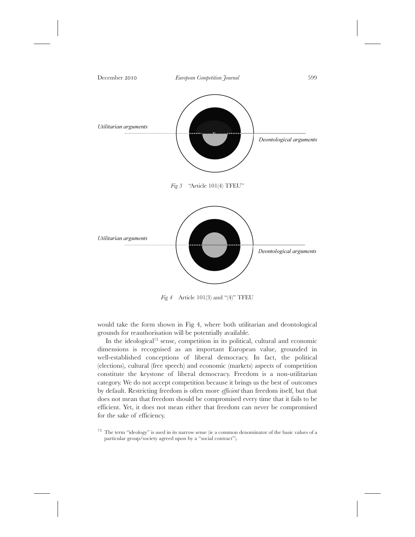

*Fig 4* Article 101(3) and "(4)" TFEU

would take the form shown in Fig 4, where both utilitarian and deontological grounds for reauthorisation will be potentially available.

In the ideological<sup>73</sup> sense, competition in its political, cultural and economic dimensions is recognised as an important European value, grounded in well-established conceptions of liberal democracy. In fact, the political (elections), cultural (free speech) and economic (markets) aspects of competition constitute the keystone of liberal democracy. Freedom is a non-utilitarian category. We do not accept competition because it brings us the best of outcomes by default. Restricting freedom is often more *efficient* than freedom itself, but that does not mean that freedom should be compromised every time that it fails to be efficient. Yet, it does not mean either that freedom can never be compromised for the sake of efficiency.

<sup>73</sup> The term "ideology" is used in its narrow sense (ie a common denominator of the basic values of a particular group/society agreed upon by a "social contract").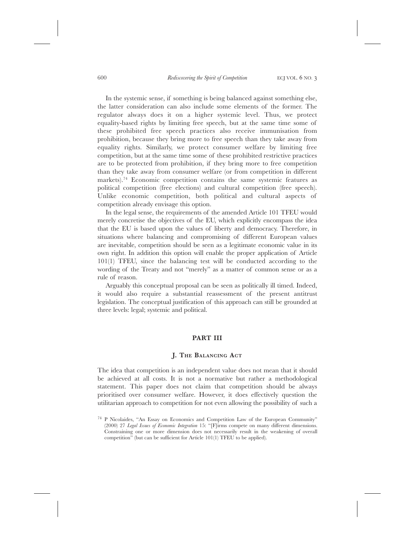In the systemic sense, if something is being balanced against something else, the latter consideration can also include some elements of the former. The regulator always does it on a higher systemic level. Thus, we protect equality-based rights by limiting free speech, but at the same time some of these prohibited free speech practices also receive immunisation from prohibition, because they bring more to free speech than they take away from equality rights. Similarly, we protect consumer welfare by limiting free competition, but at the same time some of these prohibited restrictive practices are to be protected from prohibition, if they bring more to free competition than they take away from consumer welfare (or from competition in different markets).74 Economic competition contains the same systemic features as political competition (free elections) and cultural competition (free speech). Unlike economic competition, both political and cultural aspects of competition already envisage this option.

In the legal sense, the requirements of the amended Article 101 TFEU would merely concretise the objectives of the EU, which explicitly encompass the idea that the EU is based upon the values of liberty and democracy. Therefore, in situations where balancing and compromising of different European values are inevitable, competition should be seen as a legitimate economic value in its own right. In addition this option will enable the proper application of Article 101(1) TFEU, since the balancing test will be conducted according to the wording of the Treaty and not "merely" as a matter of common sense or as a rule of reason.

Arguably this conceptual proposal can be seen as politically ill timed. Indeed, it would also require a substantial reassessment of the present antitrust legislation. The conceptual justification of this approach can still be grounded at three levels: legal; systemic and political.

### **PART III**

### **J. THE BALANCING ACT**

The idea that competition is an independent value does not mean that it should be achieved at all costs. It is not a normative but rather a methodological statement. This paper does not claim that competition should be always prioritised over consumer welfare. However, it does effectively question the utilitarian approach to competition for not even allowing the possibility of such a

<sup>74</sup> P Nicolaides, "An Essay on Economics and Competition Law of the European Community" (2000) 27 *Legal Issues of Economic Integration* 15: "[F]irms compete on many different dimensions. Constraining one or more dimension does not necessarily result in the weakening of overall competition" (but can be sufficient for Article 101(1) TFEU to be applied).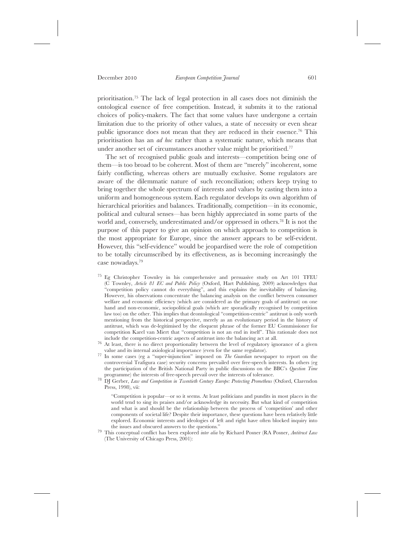prioritisation.75 The lack of legal protection in all cases does not diminish the ontological essence of free competition. Instead, it submits it to the rational choices of policy-makers. The fact that some values have undergone a certain limitation due to the priority of other values, a state of necessity or even shear public ignorance does not mean that they are reduced in their essence.76 This prioritisation has an *ad hoc* rather than a systematic nature, which means that under another set of circumstances another value might be prioritised.<sup>77</sup>

The set of recognised public goals and interests—competition being one of them—is too broad to be coherent. Most of them are "merely" incoherent, some fairly conflicting, whereas others are mutually exclusive. Some regulators are aware of the dilemmatic nature of such reconciliation; others keep trying to bring together the whole spectrum of interests and values by casting them into a uniform and homogeneous system. Each regulator develops its own algorithm of hierarchical priorities and balances. Traditionally, competition—in its economic, political and cultural senses—has been highly appreciated in some parts of the world and, conversely, underestimated and/or oppressed in others.78 It is not the purpose of this paper to give an opinion on which approach to competition is the most appropriate for Europe, since the answer appears to be self-evident. However, this "self-evidence" would be jeopardised were the role of competition to be totally circumscribed by its effectiveness, as is becoming increasingly the case nowadays.79

- <sup>75</sup> Eg Christopher Townley in his comprehensive and persuasive study on Art 101 TFEU (C Townley, *Article 81 EC and Public Policy* (Oxford, Hart Publishing, 2009) acknowledges that "competition policy cannot do everything", and this explains the inevitability of balancing. However, his observations concentrate the balancing analysis on the conflict between consumer welfare and economic efficiency (which are considered as the primary goals of antitrust) on one hand and non-economic, sociopolitical goals (which are sporadically recognised by competition law too) on the other. This implies that deontological "competition-centric" antitrust is only worth mentioning from the historical perspective, merely as an evolutionary period in the history of antitrust, which was de-legitimised by the eloquent phrase of the former EU Commissioner for competition Karel van Miert that "competition is not an end in itself". This rationale does not
- $\frac{76}{10}$  At least, there is no direct proportionality between the level of regulatory ignorance of a given value and its internal axiological importance (even for the same regulator).
- <sup>77</sup> In some cases (eg a "super-injunction" imposed on *The Guardian* newspaper to report on the controversial Trafigura case) security concerns prevailed over free-speech interests. In others (eg the participation of the British National Party in public discussions on the BBC's *Question Time*
- <sup>78</sup> DI Gerber, *Law and Competition in Twentieth Century Europe: Protecting Prometheus* (Oxford, Clarendon Press, 1998), vii:

"Competition is popular—or so it seems. At least politicians and pundits in most places in the world tend to sing its praises and/or acknowledge its necessity. But what kind of competition and what is and should be the relationship between the process of 'competition' and other components of societal life? Despite their importance, these questions have been relatively little explored. Economic interests and ideologies of left and right have often blocked inquiry into

<sup>79</sup> This conceptual conflict has been explored *inter alia* by Richard Posner (RA Posner, *Antitrust Law* (The University of Chicago Press, 2001):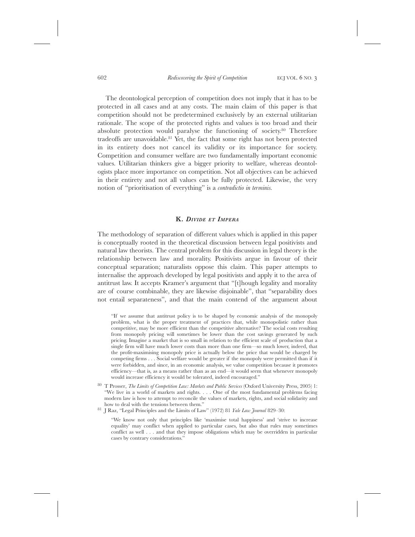The deontological perception of competition does not imply that it has to be protected in all cases and at any costs. The main claim of this paper is that competition should not be predetermined exclusively by an external utilitarian rationale. The scope of the protected rights and values is too broad and their absolute protection would paralyse the functioning of society.80 Therefore tradeoffs are unavoidable.<sup>81</sup> Yet, the fact that some right has not been protected in its entirety does not cancel its validity or its importance for society. Competition and consumer welfare are two fundamentally important economic values. Utilitarian thinkers give a bigger priority to welfare, whereas deontologists place more importance on competition. Not all objectives can be achieved in their entirety and not all values can be fully protected. Likewise, the very notion of "prioritisation of everything" is a *contradictio in terminis*.

## **K.** *DIVIDE ET IMPERA*

The methodology of separation of different values which is applied in this paper is conceptually rooted in the theoretical discussion between legal positivists and natural law theorists. The central problem for this discussion in legal theory is the relationship between law and morality. Positivists argue in favour of their conceptual separation; naturalists oppose this claim. This paper attempts to internalise the approach developed by legal positivists and apply it to the area of antitrust law. It accepts Kramer's argument that "[t]hough legality and morality are of course combinable, they are likewise disjoinable", that "separability does not entail separateness", and that the main contend of the argument about

"If we assume that antitrust policy is to be shaped by economic analysis of the monopoly problem, what is the proper treatment of practices that, while monopolistic rather than competitive, may be more efficient than the competitive alternative? The social costs resulting from monopoly pricing will sometimes be lower than the cost savings generated by such pricing. Imagine a market that is so small in relation to the efficient scale of production that a single firm will have much lower costs than more than one firm—so much lower, indeed, that the profit-maximising monopoly price is actually below the price that would be charged by competing firms . . . Social welfare would be greater if the monopoly were permitted than if it were forbidden, and since, in an economic analysis, we value competition because it promotes efficiency—that is, as a means rather than as an end—it would seem that whenever monopoly would increase efficiency it would be tolerated, indeed encouraged."

<sup>80</sup> T Prosser, *The Limits of Competition Law: Markets and Public Services* (Oxford University Press, 2005) 1: "We live in a world of markets and rights. . . . One of the most fundamental problems facing modern law is how to attempt to reconcile the values of markets, rights, and social solidarity and how to deal with the tensions between them." <sup>81</sup> J Raz, "Legal Principles and the Limits of Law" (1972) 81 *Yale Law Journal* 829–30:

<sup>&</sup>quot;We know not only that principles like 'maximise total happiness' and 'strive to increase equality' may conflict when applied to particular cases, but also that rules may sometimes conflict as well . . . and that they impose obligations which may be overridden in particular cases by contrary considerations."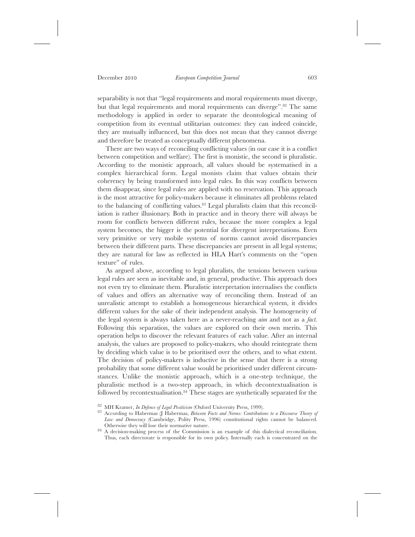separability is not that "legal requirements and moral requirements must diverge, but that legal requirements and moral requirements can diverge".<sup>82</sup> The same methodology is applied in order to separate the deontological meaning of competition from its eventual utilitarian outcomes: they can indeed coincide, they are mutually influenced, but this does not mean that they cannot diverge and therefore be treated as conceptually different phenomena.

There are two ways of reconciling conflicting values (in our case it is a conflict between competition and welfare). The first is monistic, the second is pluralistic. According to the monistic approach, all values should be systematised in a complex hierarchical form. Legal monists claim that values obtain their coherency by being transformed into legal rules. In this way conflicts between them disappear, since legal rules are applied with no reservation. This approach is the most attractive for policy-makers because it eliminates all problems related to the balancing of conflicting values.83 Legal pluralists claim that this reconciliation is rather illusionary. Both in practice and in theory there will always be room for conflicts between different rules, because the more complex a legal system becomes, the bigger is the potential for divergent interpretations. Even very primitive or very mobile systems of norms cannot avoid discrepancies between their different parts. These discrepancies are present in all legal systems; they are natural for law as reflected in HLA Hart's comments on the "open texture" of rules.

As argued above, according to legal pluralists, the tensions between various legal rules are seen as inevitable and, in general, productive. This approach does not even try to eliminate them. Pluralistic interpretation internalises the conflicts of values and offers an alternative way of reconciling them. Instead of an unrealistic attempt to establish a homogeneous hierarchical system, it divides different values for the sake of their independent analysis. The homogeneity of the legal system is always taken here as a never-reaching *aim* and not as a *fact*. Following this separation, the values are explored on their own merits. This operation helps to discover the relevant features of each value. After an internal analysis, the values are proposed to policy-makers, who should reintegrate them by deciding which value is to be prioritised over the others, and to what extent. The decision of policy-makers is inductive in the sense that there is a strong probability that some different value would be prioritised under different circumstances. Unlike the monistic approach, which is a one-step technique, the pluralistic method is a two-step approach, in which decontextualisation is followed by recontextualisation.<sup>84</sup> These stages are synthetically separated for the

<sup>82</sup> MH Kramer, *In Defence of Legal Positivism* (Oxford University Press, 1999). <sup>83</sup> According to Habermas (J Habermas, *Between Facts and Norms: Contributions to a Discourse Theory of Law and Democracy* (Cambridge, Polity Press, 1996) constitutional rights cannot be balanced.

 $84$  A decision-making process of the Commission is an example of this dialectical reconciliation. Thus, each directorate is responsible for its own policy. Internally each is concentrated on the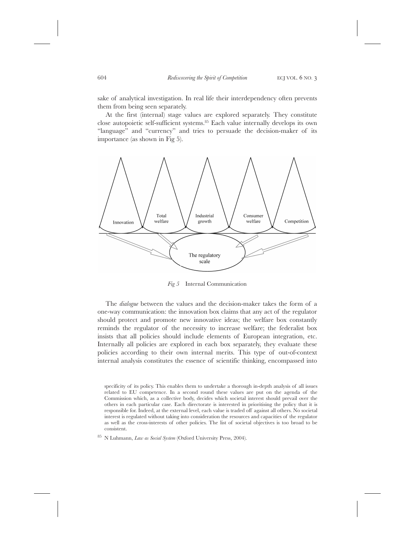sake of analytical investigation. In real life their interdependency often prevents them from being seen separately.

At the first (internal) stage values are explored separately. They constitute close autopoietic self-sufficient systems.85 Each value internally develops its own "language" and "currency" and tries to persuade the decision-maker of its importance (as shown in Fig 5).



*Fig 5* Internal Communication

The *dialogue* between the values and the decision-maker takes the form of a one-way communication: the innovation box claims that any act of the regulator should protect and promote new innovative ideas; the welfare box constantly reminds the regulator of the necessity to increase welfare; the federalist box insists that all policies should include elements of European integration, etc. Internally all policies are explored in each box separately, they evaluate these policies according to their own internal merits. This type of out-of-context internal analysis constitutes the essence of scientific thinking, encompassed into

specificity of its policy. This enables them to undertake a thorough in-depth analysis of all issues related to EU competence. In a second round these values are put on the agenda of the Commission which, as a collective body, decides which societal interest should prevail over the others in each particular case. Each directorate is interested in prioritising the policy that it is responsible for. Indeed, at the external level, each value is traded off against all others. No societal interest is regulated without taking into consideration the resources and capacities of the regulator as well as the cross-interests of other policies. The list of societal objectives is too broad to be consistent.

<sup>85</sup> N Luhmann, *Law as Social System* (Oxford University Press, 2004).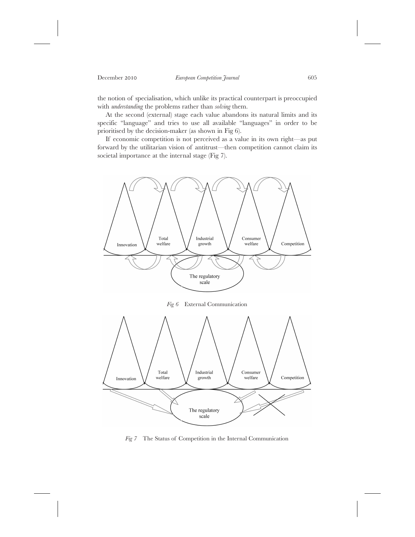the notion of specialisation, which unlike its practical counterpart is preoccupied with *understanding* the problems rather than *solving* them.

At the second (external) stage each value abandons its natural limits and its specific "language" and tries to use all available "languages" in order to be prioritised by the decision-maker (as shown in Fig 6).

If economic competition is not perceived as a value in its own right—as put forward by the utilitarian vision of antitrust—then competition cannot claim its societal importance at the internal stage (Fig 7).



*Fig 7* The Status of Competition in the Internal Communication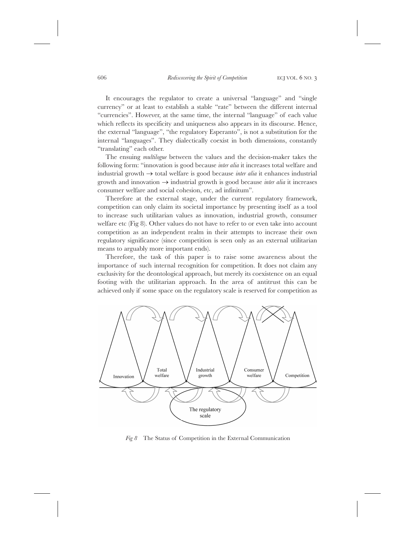It encourages the regulator to create a universal "language" and "single currency" or at least to establish a stable "rate" between the different internal "currencies". However, at the same time, the internal "language" of each value which reflects its specificity and uniqueness also appears in its discourse. Hence, the external "language", "the regulatory Esperanto", is not a substitution for the internal "languages". They dialectically coexist in both dimensions, constantly "translating" each other.

The ensuing *multilogue* between the values and the decision-maker takes the following form: "innovation is good because *inter alia* it increases total welfare and industrial growth  $\rightarrow$  total welfare is good because *inter alia* it enhances industrial growth and innovation  $\rightarrow$  industrial growth is good because *inter alia* it increases consumer welfare and social cohesion, etc, ad infinitum".

Therefore at the external stage, under the current regulatory framework, competition can only claim its societal importance by presenting itself as a tool to increase such utilitarian values as innovation, industrial growth, consumer welfare etc (Fig 8). Other values do not have to refer to or even take into account competition as an independent realm in their attempts to increase their own regulatory significance (since competition is seen only as an external utilitarian means to arguably more important ends).

Therefore, the task of this paper is to raise some awareness about the importance of such internal recognition for competition. It does not claim any exclusivity for the deontological approach, but merely its coexistence on an equal footing with the utilitarian approach. In the area of antitrust this can be achieved only if some space on the regulatory scale is reserved for competition as



*Fig 8* The Status of Competition in the External Communication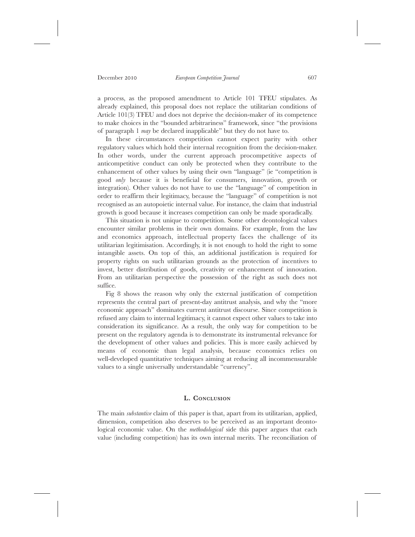a process, as the proposed amendment to Article 101 TFEU stipulates. As already explained, this proposal does not replace the utilitarian conditions of Article 101(3) TFEU and does not deprive the decision-maker of its competence to make choices in the "bounded arbitrariness" framework, since "the provisions of paragraph 1 *may* be declared inapplicable" but they do not have to.

In these circumstances competition cannot expect parity with other regulatory values which hold their internal recognition from the decision-maker. In other words, under the current approach procompetitive aspects of anticompetitive conduct can only be protected when they contribute to the enhancement of other values by using their own "language" (ie "competition is good *only* because it is beneficial for consumers, innovation, growth or integration). Other values do not have to use the "language" of competition in order to reaffirm their legitimacy, because the "language" of competition is not recognised as an autopoietic internal value. For instance, the claim that industrial growth is good because it increases competition can only be made sporadically.

This situation is not unique to competition. Some other deontological values encounter similar problems in their own domains. For example, from the law and economics approach, intellectual property faces the challenge of its utilitarian legitimisation. Accordingly, it is not enough to hold the right to some intangible assets. On top of this, an additional justification is required for property rights on such utilitarian grounds as the protection of incentives to invest, better distribution of goods, creativity or enhancement of innovation. From an utilitarian perspective the possession of the right as such does not suffice.

Fig 8 shows the reason why only the external justification of competition represents the central part of present-day antitrust analysis, and why the "more economic approach" dominates current antitrust discourse. Since competition is refused any claim to internal legitimacy, it cannot expect other values to take into consideration its significance. As a result, the only way for competition to be present on the regulatory agenda is to demonstrate its instrumental relevance for the development of other values and policies. This is more easily achieved by means of economic than legal analysis, because economics relies on well-developed quantitative techniques aiming at reducing all incommensurable values to a single universally understandable "currency".

### **L. CONCLUSION**

The main *substantive* claim of this paper is that, apart from its utilitarian, applied, dimension, competition also deserves to be perceived as an important deontological economic value. On the *methodological* side this paper argues that each value (including competition) has its own internal merits. The reconciliation of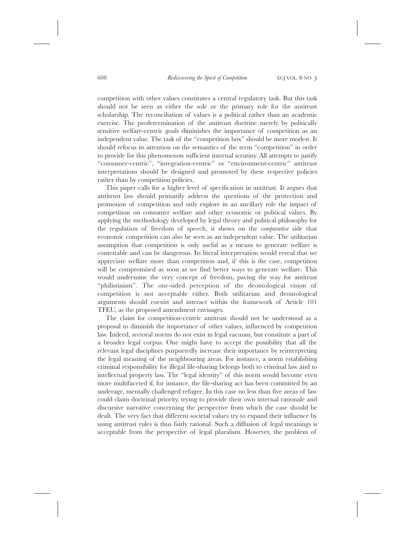competition with other values constitutes a central regulatory task. But this task should not be seen as either the sole or the primary role for the antitrust scholarship. The reconciliation of values is a political rather than an academic exercise. The predetermination of the antitrust doctrine merely by politically sensitive welfare-centric goals diminishes the importance of competition as an independent value. The task of the "competition box" should be more modest. It should refocus its attention on the semantics of the term "competition" in order to provide for this phenomenon sufficient internal scrutiny. All attempts to justify "consumer-centric", "integration-centric" or "environment-centric" antitrust interpretations should be designed and promoted by these respective policies rather than by competition policies.

This paper calls for a higher level of specification in antitrust. It argues that antitrust law should primarily address the questions of the protection and promotion of competition and only explore in an ancillary role the impact of competition on consumer welfare and other economic or political values. By applying the methodology developed by legal theory and political philosophy for the regulation of freedom of speech, it shows on the *comparative* side that economic competition can also be seen as an independent value. The utilitarian assumption that competition is only useful as a means to generate welfare is contestable and can be dangerous. Its literal interpretation would reveal that we appreciate welfare more than competition and, if this is the case, competition will be compromised as soon as we find better ways to generate welfare. This would undermine the very concept of freedom, paving the way for antitrust "philistinism". The one-sided perception of the deontological vision of competition is not acceptable either. Both utilitarian and deontological arguments should coexist and interact within the framework of Article 101 TFEU, as the proposed amendment envisages.

The claim for competition-centric antitrust should not be understood as a proposal to diminish the importance of other values, influenced by competition law. Indeed, sectoral norms do not exist in legal vacuum, but constitute a part of a broader legal corpus. One might have to accept the possibility that all the relevant legal disciplines purportedly increase their importance by reinterpreting the legal meaning of the neighbouring areas. For instance, a norm establishing criminal responsibility for illegal file-sharing belongs both to criminal law and to intellectual property law. The "legal identity" of this norm would become even more multifaceted if, for instance, the file-sharing act has been committed by an underage, mentally challenged refugee. In this case no less than five areas of law could claim doctrinal priority, trying to provide their own internal rationale and discursive narrative concerning the perspective from which the case should be dealt. The very fact that different societal values try to expand their influence by using antitrust rules is thus fairly rational. Such a diffusion of legal meanings is acceptable from the perspective of legal pluralism. However, the problem of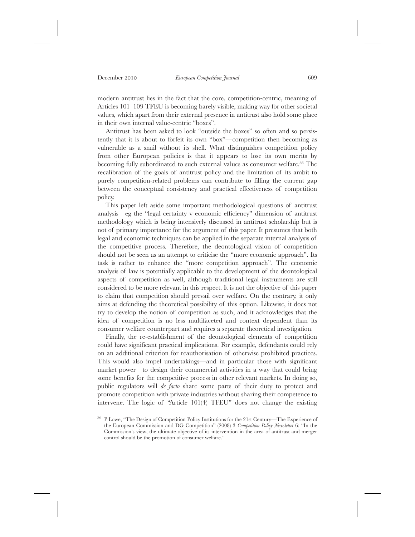modern antitrust lies in the fact that the core, competition-centric, meaning of Articles 101–109 TFEU is becoming barely visible, making way for other societal values, which apart from their external presence in antitrust also hold some place in their own internal value-centric "boxes".

Antitrust has been asked to look "outside the boxes" so often and so persistently that it is about to forfeit its own "box"—competition then becoming as vulnerable as a snail without its shell. What distinguishes competition policy from other European policies is that it appears to lose its own merits by becoming fully subordinated to such external values as consumer welfare.<sup>86</sup> The recalibration of the goals of antitrust policy and the limitation of its ambit to purely competition-related problems can contribute to filling the current gap between the conceptual consistency and practical effectiveness of competition policy.

This paper left aside some important methodological questions of antitrust analysis—eg the "legal certainty v economic efficiency" dimension of antitrust methodology which is being intensively discussed in antitrust scholarship but is not of primary importance for the argument of this paper. It presumes that both legal and economic techniques can be applied in the separate internal analysis of the competitive process. Therefore, the deontological vision of competition should not be seen as an attempt to criticise the "more economic approach". Its task is rather to enhance the "more competition approach". The economic analysis of law is potentially applicable to the development of the deontological aspects of competition as well, although traditional legal instruments are still considered to be more relevant in this respect. It is not the objective of this paper to claim that competition should prevail over welfare. On the contrary, it only aims at defending the theoretical possibility of this option. Likewise, it does not try to develop the notion of competition as such, and it acknowledges that the idea of competition is no less multifaceted and context dependent than its consumer welfare counterpart and requires a separate theoretical investigation.

Finally, the re-establishment of the deontological elements of competition could have significant practical implications. For example, defendants could rely on an additional criterion for reauthorisation of otherwise prohibited practices. This would also impel undertakings—and in particular those with significant market power—to design their commercial activities in a way that could bring some benefits for the competitive process in other relevant markets. In doing so, public regulators will *de facto* share some parts of their duty to protect and promote competition with private industries without sharing their competence to intervene. The logic of "Article 101(4) TFEU" does not change the existing

<sup>86</sup> P Lowe, "The Design of Competition Policy Institutions for the 21st Century—The Experience of the European Commission and DG Competition" (2008) 3 *Competition Policy Newsletter* 6: "In the Commission's view, the ultimate objective of its intervention in the area of antitrust and merger control should be the promotion of consumer welfare."